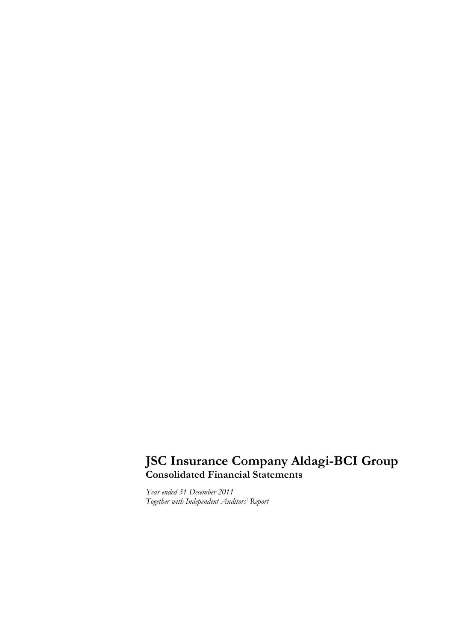# **JSC Insurance Company Aldagi-BCI Group Consolidated Financial Statements**

*Year ended 31 December 2011 Together with Independent Auditors' Report*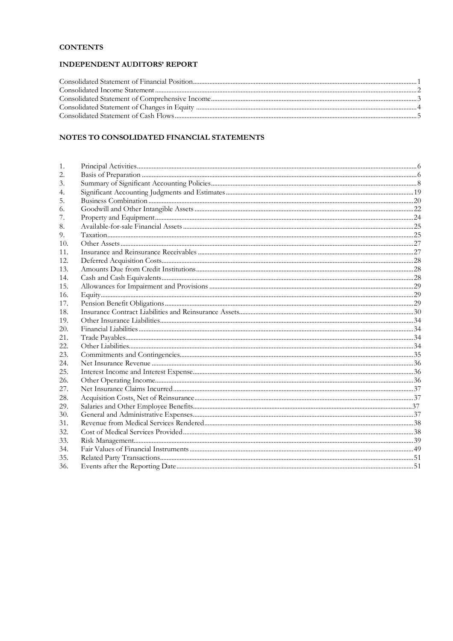# **CONTENTS**

# **INDEPENDENT AUDITORS' REPORT**

# NOTES TO CONSOLIDATED FINANCIAL STATEMENTS

| 1.  |  |
|-----|--|
| 2.  |  |
| 3.  |  |
|     |  |
| 5.  |  |
| 6.  |  |
| 7.  |  |
| 8.  |  |
| 9.  |  |
| 10. |  |
| 11. |  |
| 12. |  |
| 13. |  |
| 14. |  |
| 15. |  |
| 16. |  |
| 17. |  |
| 18. |  |
| 19. |  |
| 20. |  |
| 21. |  |
| 22. |  |
| 23. |  |
| 24. |  |
| 25. |  |
| 26. |  |
| 27. |  |
| 28. |  |
| 29. |  |
| 30. |  |
| 31. |  |
| 32. |  |
| 33. |  |
| 34. |  |
| 35. |  |
| 36. |  |
|     |  |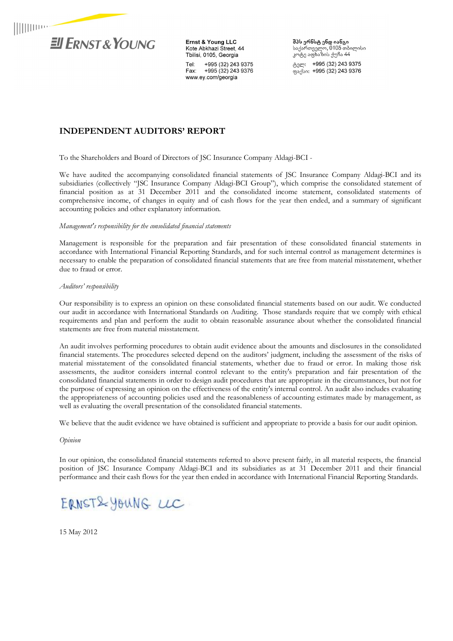

Ernst & Young LLC Kote Abkhazi Street, 44 Tbilisi, 0105, Georgia Tel: +995 (32) 243 9375 Fax: +995 (32) 243 9376 www.ey.com/georgia

**შპს ერნსტ ენდ იანგი**<br>საქართველო, 0105 თბილისი<br>კოტე აფხაზის ქუჩა 44

ტელ: +995 (32) 243 9375 ფაქსი: +995 (32) 243 9376

# **INDEPENDENT AUDITORS' REPORT**

To the Shareholders and Board of Directors of JSC Insurance Company Aldagi-BCI -

We have audited the accompanying consolidated financial statements of JSC Insurance Company Aldagi-BCI and its subsidiaries (collectively "JSC Insurance Company Aldagi-BCI Group"), which comprise the consolidated statement of financial position as at 31 December 2011 and the consolidated income statement, consolidated statements of comprehensive income, of changes in equity and of cash flows for the year then ended, and a summary of significant accounting policies and other explanatory information.

#### *Management's responsibility for the consolidated financial statements*

Management is responsible for the preparation and fair presentation of these consolidated financial statements in accordance with International Financial Reporting Standards, and for such internal control as management determines is necessary to enable the preparation of consolidated financial statements that are free from material misstatement, whether due to fraud or error.

#### *Auditors' responsibility*

Our responsibility is to express an opinion on these consolidated financial statements based on our audit. We conducted our audit in accordance with International Standards on Auditing. Those standards require that we comply with ethical requirements and plan and perform the audit to obtain reasonable assurance about whether the consolidated financial statements are free from material misstatement.

An audit involves performing procedures to obtain audit evidence about the amounts and disclosures in the consolidated financial statements. The procedures selected depend on the auditors' judgment, including the assessment of the risks of material misstatement of the consolidated financial statements, whether due to fraud or error. In making those risk assessments, the auditor considers internal control relevant to the entity's preparation and fair presentation of the consolidated financial statements in order to design audit procedures that are appropriate in the circumstances, but not for the purpose of expressing an opinion on the effectiveness of the entity's internal control. An audit also includes evaluating the appropriateness of accounting policies used and the reasonableness of accounting estimates made by management, as well as evaluating the overall presentation of the consolidated financial statements.

We believe that the audit evidence we have obtained is sufficient and appropriate to provide a basis for our audit opinion.

*Opinion* 

In our opinion, the consolidated financial statements referred to above present fairly, in all material respects, the financial position of JSC Insurance Company Aldagi-BCI and its subsidiaries as at 31 December 2011 and their financial performance and their cash flows for the year then ended in accordance with International Financial Reporting Standards.

# ERNST& YOUNG LLC

15 May 2012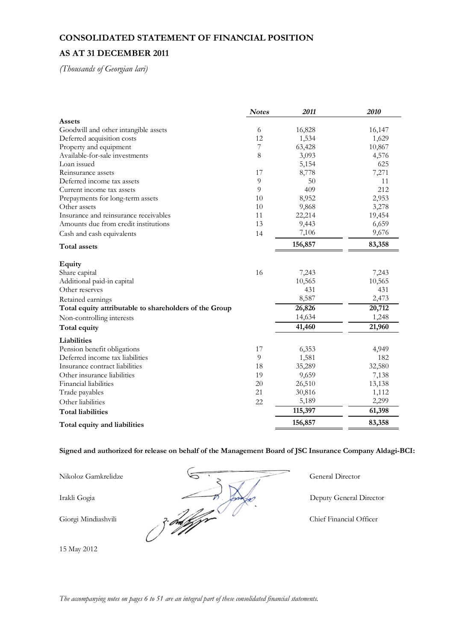# **CONSOLIDATED STATEMENT OF FINANCIAL POSITION**

# **AS AT 31 DECEMBER 2011**

*(Thousands of Georgian lari)* 

|                                                        | <b>Notes</b> | 2011    | 2010   |
|--------------------------------------------------------|--------------|---------|--------|
| <b>Assets</b>                                          |              |         |        |
| Goodwill and other intangible assets                   | 6            | 16,828  | 16,147 |
| Deferred acquisition costs                             | 12           | 1,534   | 1,629  |
| Property and equipment                                 | 7            | 63,428  | 10,867 |
| Available-for-sale investments                         | 8            | 3,093   | 4,576  |
| Loan issued                                            |              | 5,154   | 625    |
| Reinsurance assets                                     | 17           | 8,778   | 7,271  |
| Deferred income tax assets                             | 9            | 50      | 11     |
| Current income tax assets                              | 9            | 409     | 212    |
| Prepayments for long-term assets                       | 10           | 8,952   | 2,953  |
| Other assets                                           | 10           | 9,868   | 3,278  |
| Insurance and reinsurance receivables                  | 11           | 22,214  | 19,454 |
| Amounts due from credit institutions                   | 13           | 9,443   | 6,659  |
| Cash and cash equivalents                              | 14           | 7,106   | 9,676  |
| Total assets                                           |              | 156,857 | 83,358 |
| Equity                                                 |              |         |        |
| Share capital                                          | 16           | 7,243   | 7,243  |
| Additional paid-in capital                             |              | 10,565  | 10,565 |
| Other reserves                                         |              | 431     | 431    |
| Retained earnings                                      |              | 8,587   | 2,473  |
| Total equity attributable to shareholders of the Group |              | 26,826  | 20,712 |
| Non-controlling interests                              |              | 14,634  | 1,248  |
| Total equity                                           |              | 41,460  | 21,960 |
| Liabilities                                            |              |         |        |
| Pension benefit obligations                            | 17           | 6,353   | 4,949  |
| Deferred income tax liabilities                        | 9            | 1,581   | 182    |
| Insurance contract liabilities                         | 18           | 35,289  | 32,580 |
| Other insurance liabilities                            | 19           | 9,659   | 7,138  |
| Financial liabilities                                  | 20           | 26,510  | 13,138 |
| Trade payables                                         | 21           | 30,816  | 1,112  |
| Other liabilities                                      | 22           | 5,189   | 2,299  |
| <b>Total liabilities</b>                               |              | 115,397 | 61,398 |
| Total equity and liabilities                           |              | 156,857 | 83,358 |

**Signed and authorized for release on behalf of the Management Board of JSC Insurance Company Aldagi-BCI:** 

15 May 2012

Nikoloz Gamkrelidze General Director Irakli Gogia **Director** Deputy General Director Giorgi Mindiashvili 2. 2006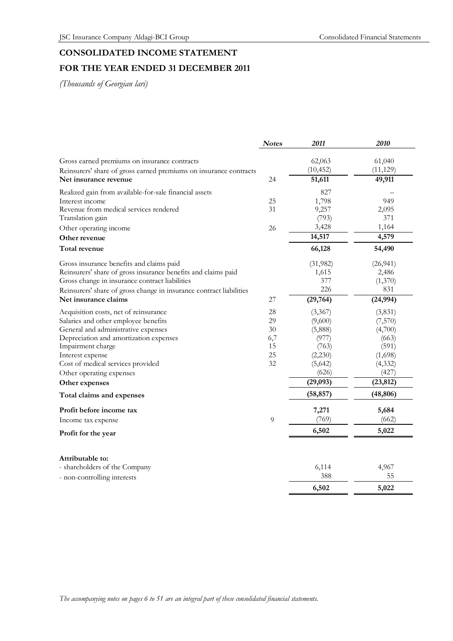# **CONSOLIDATED INCOME STATEMENT**

# **FOR THE YEAR ENDED 31 DECEMBER 2011**

|                                                                     | <b>Notes</b> | 2011      | 2010      |
|---------------------------------------------------------------------|--------------|-----------|-----------|
| Gross earned premiums on insurance contracts                        |              | 62,063    | 61,040    |
| Reinsurers' share of gross earned premiums on insurance contracts   |              | (10, 452) | (11, 129) |
| Net insurance revenue                                               | 24           | 51,611    | 49,911    |
| Realized gain from available-for-sale financial assets              |              | 827       |           |
| Interest income                                                     | 25           | 1,798     | 949       |
| Revenue from medical services rendered                              | 31           | 9,257     | 2,095     |
| Translation gain                                                    |              | (793)     | 371       |
| Other operating income                                              | 26           | 3,428     | 1,164     |
| Other revenue                                                       |              | 14,517    | 4,579     |
| <b>Total revenue</b>                                                |              | 66,128    | 54,490    |
| Gross insurance benefits and claims paid                            |              | (31, 982) | (26, 941) |
| Reinsurers' share of gross insurance benefits and claims paid       |              | 1,615     | 2,486     |
| Gross change in insurance contract liabilities                      |              | 377       | (1,370)   |
| Reinsurers' share of gross change in insurance contract liabilities |              | 226       | 831       |
| Net insurance claims                                                | 27           | (29, 764) | (24, 994) |
| Acquisition costs, net of reinsurance                               | 28           | (3,367)   | (3,831)   |
| Salaries and other employee benefits                                | 29           | (9,600)   | (7,570)   |
| General and administrative expenses                                 | 30           | (5,888)   | (4,700)   |
| Depreciation and amortization expenses                              | 6,7          | (977)     | (663)     |
| Impairment charge                                                   | 15           | (763)     | (591)     |
| Interest expense                                                    | 25           | (2,230)   | (1,698)   |
| Cost of medical services provided                                   | 32           | (5,642)   | (4, 332)  |
| Other operating expenses                                            |              | (626)     | (427)     |
| Other expenses                                                      |              | (29,093)  | (23, 812) |
| Total claims and expenses                                           |              | (58, 857) | (48, 806) |
| Profit before income tax                                            |              | 7,271     | 5,684     |
| Income tax expense                                                  | 9            | (769)     | (662)     |
| Profit for the year                                                 |              | 6,502     | 5,022     |
| Attributable to:                                                    |              |           |           |
| - shareholders of the Company                                       |              | 6,114     | 4,967     |
| - non-controlling interests                                         |              | 388       | 55        |
|                                                                     |              | 6,502     | 5,022     |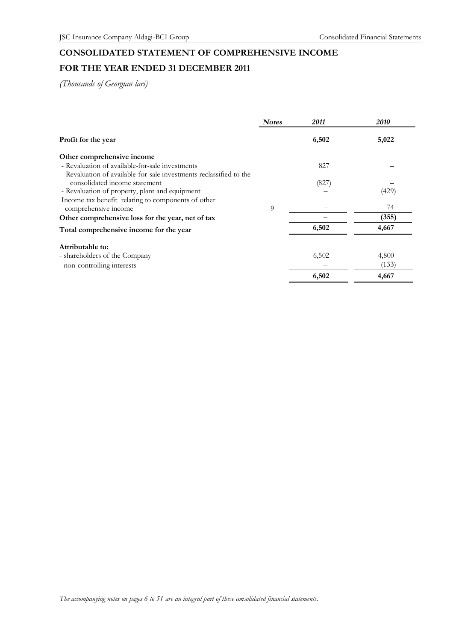# **CONSOLIDATED STATEMENT OF COMPREHENSIVE INCOME**

# **FOR THE YEAR ENDED 31 DECEMBER 2011**

| <b>Notes</b> | 2011  | 2010  |
|--------------|-------|-------|
|              | 6,502 | 5,022 |
|              |       |       |
|              | 827   |       |
|              |       |       |
|              | (827) |       |
|              |       | (429) |
|              |       |       |
| $\Omega$     |       | 74    |
|              |       | (355) |
|              | 6,502 | 4,667 |
|              |       |       |
|              | 6,502 | 4,800 |
|              |       | (133) |
|              | 6,502 | 4,667 |
|              |       |       |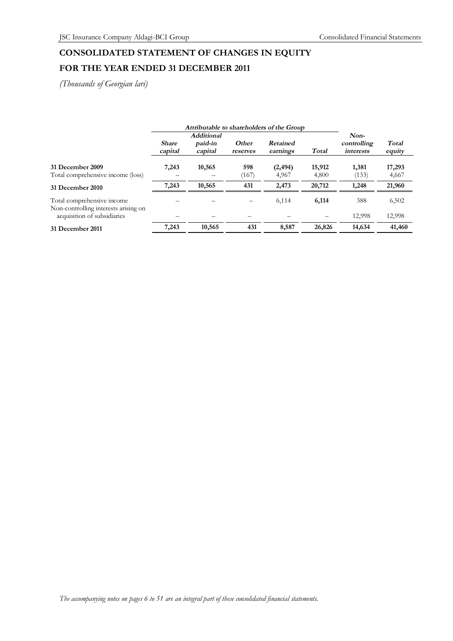# **CONSOLIDATED STATEMENT OF CHANGES IN EQUITY**

# **FOR THE YEAR ENDED 31 DECEMBER 2011**

|                                                                    |                         |                                         |                   | Attributable to shareholders of the Group |                 |                                  |                 |
|--------------------------------------------------------------------|-------------------------|-----------------------------------------|-------------------|-------------------------------------------|-----------------|----------------------------------|-----------------|
|                                                                    | <b>Share</b><br>capital | <b>Additional</b><br>paid-in<br>capital | Other<br>reserves | Retained<br>earnings                      | Total           | Non-<br>controlling<br>interests | Total<br>equity |
| 31 December 2009<br>Total comprehensive income (loss)              | 7,243                   | 10,565                                  | 598<br>(167)      | (2, 494)<br>4,967                         | 15,912<br>4,800 | 1,381<br>(133)                   | 17,293<br>4,667 |
| 31 December 2010                                                   | 7,243                   | 10,565                                  | 431               | 2,473                                     | 20,712          | 1,248                            | 21,960          |
| Total comprehensive income<br>Non-controlling interests arising on |                         |                                         |                   | 6,114                                     | 6,114           | 388                              | 6,502           |
| acquisition of subsidiaries                                        |                         |                                         |                   |                                           |                 | 12,998                           | 12,998          |
| 31 December 2011                                                   | 7,243                   | 10,565                                  | 431               | 8,587                                     | 26,826          | 14,634                           | 41,460          |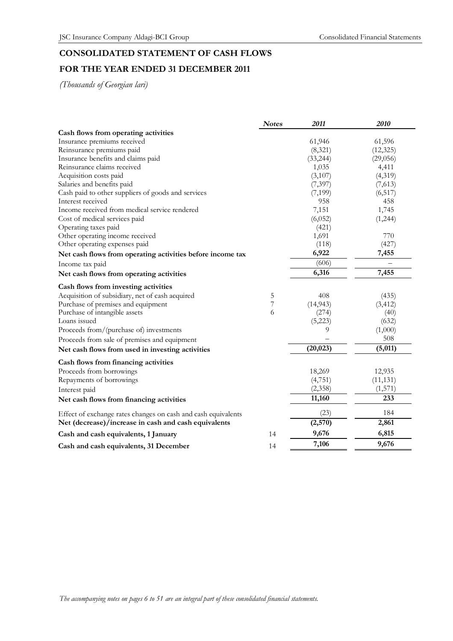# **CONSOLIDATED STATEMENT OF CASH FLOWS FOR THE YEAR ENDED 31 DECEMBER 2011**

|                                                               | <b>Notes</b>   | 2011      | 2010      |
|---------------------------------------------------------------|----------------|-----------|-----------|
| Cash flows from operating activities                          |                |           |           |
| Insurance premiums received                                   |                | 61,946    | 61,596    |
| Reinsurance premiums paid                                     |                | (8,321)   | (12, 325) |
| Insurance benefits and claims paid                            |                | (33, 244) | (29,056)  |
| Reinsurance claims received                                   |                | 1,035     | 4,411     |
| Acquisition costs paid                                        |                | (3,107)   | (4,319)   |
| Salaries and benefits paid                                    |                | (7, 397)  | (7,613)   |
| Cash paid to other suppliers of goods and services            |                | (7, 199)  | (6, 517)  |
| Interest received                                             |                | 958       | 458       |
| Income received from medical service rendered                 |                | 7,151     | 1,745     |
| Cost of medical services paid                                 |                | (6,052)   | (1,244)   |
| Operating taxes paid                                          |                | (421)     |           |
| Other operating income received                               |                | 1,691     | 770       |
| Other operating expenses paid                                 |                | (118)     | (427)     |
| Net cash flows from operating activities before income tax    |                | 6,922     | 7,455     |
| Income tax paid                                               |                | (606)     |           |
| Net cash flows from operating activities                      |                | 6,316     | 7,455     |
| Cash flows from investing activities                          |                |           |           |
| Acquisition of subsidiary, net of cash acquired               | 5              | 408       | (435)     |
| Purchase of premises and equipment                            | $\overline{7}$ | (14, 943) | (3, 412)  |
| Purchase of intangible assets                                 | 6              | (274)     | (40)      |
| Loans issued                                                  |                | (5,223)   | (632)     |
| Proceeds from/(purchase of) investments                       |                | 9         | (1,000)   |
| Proceeds from sale of premises and equipment                  |                |           | 508       |
| Net cash flows from used in investing activities              |                | (20, 023) | (5,011)   |
| Cash flows from financing activities                          |                |           |           |
| Proceeds from borrowings                                      |                | 18,269    | 12,935    |
| Repayments of borrowings                                      |                | (4,751)   | (11, 131) |
| Interest paid                                                 |                | (2,358)   | (1, 571)  |
| Net cash flows from financing activities                      |                | 11,160    | 233       |
| Effect of exchange rates changes on cash and cash equivalents |                | (23)      | 184       |
| Net (decrease)/increase in cash and cash equivalents          |                | (2,570)   | 2,861     |
| Cash and cash equivalents, 1 January                          | 14             | 9,676     | 6,815     |
| Cash and cash equivalents, 31 December                        | 14             | 7,106     | 9,676     |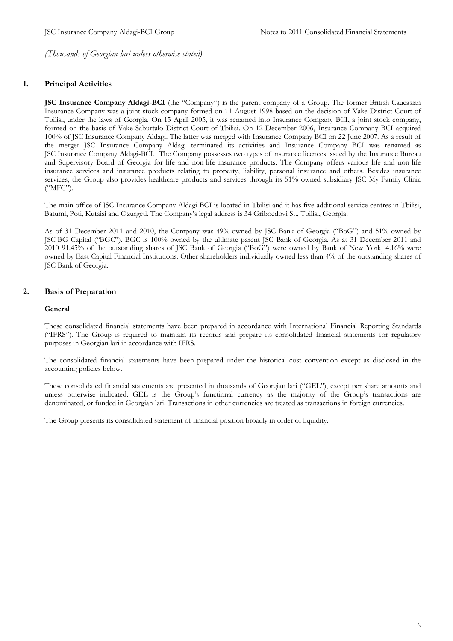# **1. Principal Activities**

**JSC Insurance Company Aldagi-BCI** (the "Company") is the parent company of a Group. The former British-Caucasian Insurance Company was a joint stock company formed on 11 August 1998 based on the decision of Vake District Court of Tbilisi, under the laws of Georgia. On 15 April 2005, it was renamed into Insurance Company BCI, a joint stock company, formed on the basis of Vake-Saburtalo District Court of Tbilisi. On 12 December 2006, Insurance Company BCI acquired 100% of JSC Insurance Company Aldagi. The latter was merged with Insurance Company BCI on 22 June 2007. As a result of the merger JSC Insurance Company Aldagi terminated its activities and Insurance Company BCI was renamed as JSC Insurance Company Aldagi-BCI. The Company possesses two types of insurance licences issued by the Insurance Bureau and Supervisory Board of Georgia for life and non-life insurance products. The Company offers various life and non-life insurance services and insurance products relating to property, liability, personal insurance and others. Besides insurance services, the Group also provides healthcare products and services through its 51% owned subsidiary JSC My Family Clinic ("MFC").

The main office of JSC Insurance Company Aldagi-BCI is located in Tbilisi and it has five additional service centres in Tbilisi, Batumi, Poti, Kutaisi and Ozurgeti. The Company's legal address is 34 Griboedovi St., Tbilisi, Georgia.

As of 31 December 2011 and 2010, the Company was 49%-owned by JSC Bank of Georgia ("BoG") and 51%-owned by JSC BG Capital ("BGC"). BGC is 100% owned by the ultimate parent JSC Bank of Georgia. As at 31 December 2011 and 2010 91.45% of the outstanding shares of JSC Bank of Georgia ("BoG") were owned by Bank of New York, 4.16% were owned by East Capital Financial Institutions. Other shareholders individually owned less than 4% of the outstanding shares of JSC Bank of Georgia.

# **2. Basis of Preparation**

#### **General**

These consolidated financial statements have been prepared in accordance with International Financial Reporting Standards ("IFRS"). The Group is required to maintain its records and prepare its consolidated financial statements for regulatory purposes in Georgian lari in accordance with IFRS.

The consolidated financial statements have been prepared under the historical cost convention except as disclosed in the accounting policies below.

These consolidated financial statements are presented in thousands of Georgian lari ("GEL"), except per share amounts and unless otherwise indicated. GEL is the Group's functional currency as the majority of the Group's transactions are denominated, or funded in Georgian lari. Transactions in other currencies are treated as transactions in foreign currencies.

The Group presents its consolidated statement of financial position broadly in order of liquidity.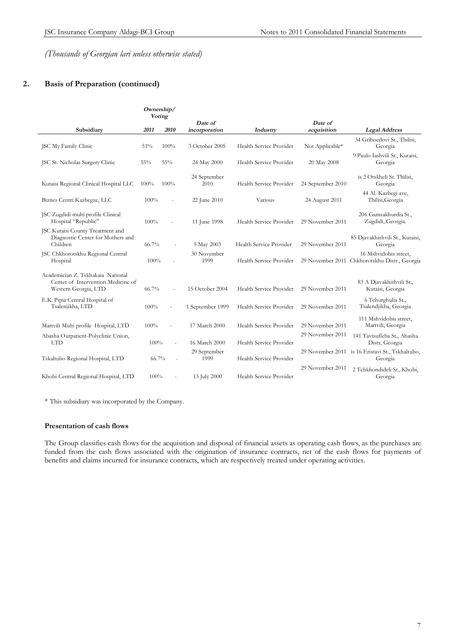# **2. Basis of Preparation (continued)**

|                                                                                                 | Ownership/<br>Voting |                          |                          |                         |                        |                                                                        |
|-------------------------------------------------------------------------------------------------|----------------------|--------------------------|--------------------------|-------------------------|------------------------|------------------------------------------------------------------------|
| Subsidiary                                                                                      | 2011                 | 2010                     | Date of<br>incorporation | Industry                | Date of<br>acquisition | <b>Legal Address</b>                                                   |
| <b>JSC My Family Clinic</b>                                                                     | 51%                  | 100%                     | 3 October 2005           | Health Service Provider | Not Applicable*        | 34 Griboedovi St., Tbilisi,<br>Georgia                                 |
| JSC St. Nicholas Surgery Clinic                                                                 | 55%                  | $55\%$                   | 24 May 2000              | Health Service Provider | 20 May 2008            | 9 Paulo Iashvili St., Kutaisi,<br>Georgia                              |
| Kutaisi Regional Clinical Hospital LLC                                                          | 100%                 | 100%                     | 24 September<br>2010     | Health Service Provider | 24 September 2010      | is 2 Otskheli St. Tbilisi,<br>Georgia                                  |
| Biznes Centri Kazbegze, LLC                                                                     | 100%                 | Ĩ.                       | 22 June 2010             | Various                 | 24 August 2011         | 44 Al. Kazbegi ave,<br>Tbilisi, Georgia                                |
| JSC Zugdidi multi profile Clinical<br>Hospital "Republic"                                       | 100%                 | ä,                       | 11 June 1998             | Health Service Provider | 29 November 2011       | 206 Gamsakhurdia St.,<br>Zugdidi, Georgia.                             |
| JSC Kutaisi County Treatment and<br>Diagnostic Center for Mothers and<br>Children               | 66.7%                |                          | 5 May 2003               | Health Service Provider | 29 November 2011       | 85 Djavakhishvili St., Kutaisi,<br>Georgia                             |
| JSC Chkhorotskhu Regional Central<br>Hospital                                                   | 100%                 |                          | 30 November<br>1999      | Health Service Provider |                        | 16 Mshvidobis street,<br>29 November 2011 Chkhorotskhu Distr., Georgia |
| Academician Z. Tskhakaia National<br>Center of Intervention Medicine of<br>Western Georgia, LTD | 66.7%                |                          | 15 October 2004          | Health Service Provider | 29 November 2011       | 83 A Djavakhishvili St.,<br>Kutaisi, Georgia                           |
| E.K. Pipia Central Hospital of<br>Tsalenjikha, LTD                                              | 100%                 | $\overline{\phantom{a}}$ | 1 September 1999         | Health Service Provider | 29 November 2011       | 6 Tchurghulia St.,<br>Tsalendjikha, Georgia                            |
| Martvili Multi profile Hospital, LTD                                                            | 100%                 |                          | 17 March 2000            | Health Service Provider | 29 November 2011       | 111 Mshvidobis street,<br>Martvili, Georgia                            |
| Abasha Outpatient-Polyclinic Union,<br><b>LTD</b>                                               | 100%                 |                          | 16 March 2000            | Health Service Provider | 29 November 2011       | 141 Tavisufleba St., Abasha<br>Distr, Georgia                          |
| Tskaltubo Regional Hospital, LTD                                                                | 66.7%                |                          | 29 September<br>1999     | Health Service Provider | 29 November 2011       | is 16 Eristavi St., Tskhaltubo,<br>Georgia                             |
| Khobi Central Regional Hospital, LTD                                                            | 100%                 |                          | 13 July 2000             | Health Service Provider | 29 November 2011       | 2 Tchkhondideli St., Khobi,<br>Georgia                                 |

\* This subsidiary was incorporated by the Company.

#### **Presentation of cash flows**

The Group classifies cash flows for the acquisition and disposal of financial assets as operating cash flows, as the purchases are funded from the cash flows associated with the origination of insurance contracts, net of the cash flows for payments of benefits and claims incurred for insurance contracts, which are respectively treated under operating activities.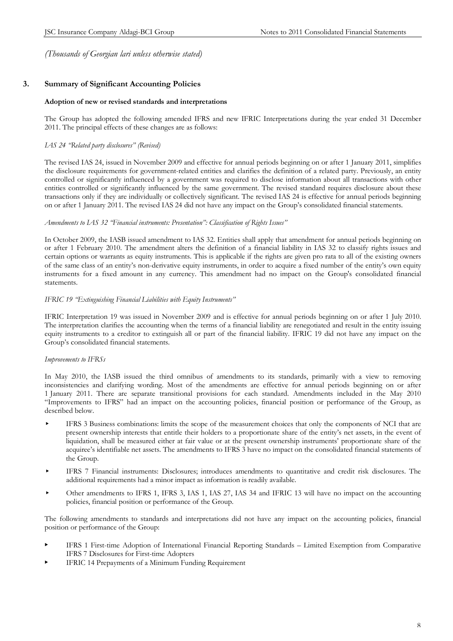# **3. Summary of Significant Accounting Policies**

#### **Adoption of new or revised standards and interpretations**

The Group has adopted the following amended IFRS and new IFRIC Interpretations during the year ended 31 December 2011. The principal effects of these changes are as follows:

#### *IAS 24 "Related party disclosures" (Revised)*

The revised IAS 24, issued in November 2009 and effective for annual periods beginning on or after 1 January 2011, simplifies the disclosure requirements for government-related entities and clarifies the definition of a related party. Previously, an entity controlled or significantly influenced by a government was required to disclose information about all transactions with other entities controlled or significantly influenced by the same government. The revised standard requires disclosure about these transactions only if they are individually or collectively significant. The revised IAS 24 is effective for annual periods beginning on or after 1 January 2011. The revised IAS 24 did not have any impact on the Group's consolidated financial statements.

#### *Amendments to IAS 32 "Financial instruments: Presentation": Classification of Rights Issues"*

In October 2009, the IASB issued amendment to IAS 32. Entities shall apply that amendment for annual periods beginning on or after 1 February 2010. The amendment alters the definition of a financial liability in IAS 32 to classify rights issues and certain options or warrants as equity instruments. This is applicable if the rights are given pro rata to all of the existing owners of the same class of an entity's non-derivative equity instruments, in order to acquire a fixed number of the entity's own equity instruments for a fixed amount in any currency. This amendment had no impact on the Group's consolidated financial statements.

#### *IFRIC 19 "Extinguishing Financial Liabilities with Equity Instruments"*

IFRIC Interpretation 19 was issued in November 2009 and is effective for annual periods beginning on or after 1 July 2010. The interpretation clarifies the accounting when the terms of a financial liability are renegotiated and result in the entity issuing equity instruments to a creditor to extinguish all or part of the financial liability. IFRIC 19 did not have any impact on the Group's consolidated financial statements.

#### *Improvements to IFRSs*

In May 2010, the IASB issued the third omnibus of amendments to its standards, primarily with a view to removing inconsistencies and clarifying wording. Most of the amendments are effective for annual periods beginning on or after 1 January 2011. There are separate transitional provisions for each standard. Amendments included in the May 2010 "Improvements to IFRS" had an impact on the accounting policies, financial position or performance of the Group, as described below.

- IFRS 3 Business combinations: limits the scope of the measurement choices that only the components of NCI that are present ownership interests that entitle their holders to a proportionate share of the entity's net assets, in the event of liquidation, shall be measured either at fair value or at the present ownership instruments' proportionate share of the acquiree's identifiable net assets. The amendments to IFRS 3 have no impact on the consolidated financial statements of the Group.
- IFRS 7 Financial instruments: Disclosures; introduces amendments to quantitative and credit risk disclosures. The additional requirements had a minor impact as information is readily available.
- Other amendments to IFRS 1, IFRS 3, IAS 1, IAS 27, IAS 34 and IFRIC 13 will have no impact on the accounting policies, financial position or performance of the Group.

The following amendments to standards and interpretations did not have any impact on the accounting policies, financial position or performance of the Group:

- IFRS 1 First-time Adoption of International Financial Reporting Standards Limited Exemption from Comparative IFRS 7 Disclosures for First-time Adopters
- IFRIC 14 Prepayments of a Minimum Funding Requirement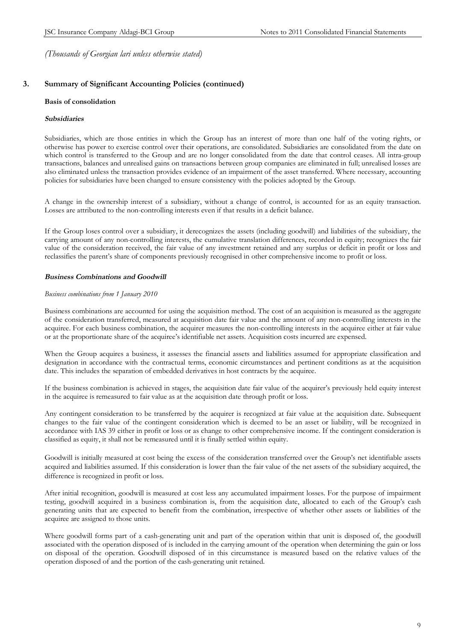# **3. Summary of Significant Accounting Policies (continued)**

#### **Basis of consolidation**

#### *Subsidiaries*

Subsidiaries, which are those entities in which the Group has an interest of more than one half of the voting rights, or otherwise has power to exercise control over their operations, are consolidated. Subsidiaries are consolidated from the date on which control is transferred to the Group and are no longer consolidated from the date that control ceases. All intra-group transactions, balances and unrealised gains on transactions between group companies are eliminated in full; unrealised losses are also eliminated unless the transaction provides evidence of an impairment of the asset transferred. Where necessary, accounting policies for subsidiaries have been changed to ensure consistency with the policies adopted by the Group.

A change in the ownership interest of a subsidiary, without a change of control, is accounted for as an equity transaction. Losses are attributed to the non-controlling interests even if that results in a deficit balance.

If the Group loses control over a subsidiary, it derecognizes the assets (including goodwill) and liabilities of the subsidiary, the carrying amount of any non-controlling interests, the cumulative translation differences, recorded in equity; recognizes the fair value of the consideration received, the fair value of any investment retained and any surplus or deficit in profit or loss and reclassifies the parent's share of components previously recognised in other comprehensive income to profit or loss.

#### *Business Combinations and Goodwill*

#### *Business combinations from 1 January 2010*

Business combinations are accounted for using the acquisition method. The cost of an acquisition is measured as the aggregate of the consideration transferred, measured at acquisition date fair value and the amount of any non-controlling interests in the acquiree. For each business combination, the acquirer measures the non-controlling interests in the acquiree either at fair value or at the proportionate share of the acquiree's identifiable net assets. Acquisition costs incurred are expensed.

When the Group acquires a business, it assesses the financial assets and liabilities assumed for appropriate classification and designation in accordance with the contractual terms, economic circumstances and pertinent conditions as at the acquisition date. This includes the separation of embedded derivatives in host contracts by the acquiree.

If the business combination is achieved in stages, the acquisition date fair value of the acquirer's previously held equity interest in the acquiree is remeasured to fair value as at the acquisition date through profit or loss.

Any contingent consideration to be transferred by the acquirer is recognized at fair value at the acquisition date. Subsequent changes to the fair value of the contingent consideration which is deemed to be an asset or liability, will be recognized in accordance with IAS 39 either in profit or loss or as change to other comprehensive income. If the contingent consideration is classified as equity, it shall not be remeasured until it is finally settled within equity.

Goodwill is initially measured at cost being the excess of the consideration transferred over the Group's net identifiable assets acquired and liabilities assumed. If this consideration is lower than the fair value of the net assets of the subsidiary acquired, the difference is recognized in profit or loss.

After initial recognition, goodwill is measured at cost less any accumulated impairment losses. For the purpose of impairment testing, goodwill acquired in a business combination is, from the acquisition date, allocated to each of the Group's cash generating units that are expected to benefit from the combination, irrespective of whether other assets or liabilities of the acquiree are assigned to those units.

Where goodwill forms part of a cash-generating unit and part of the operation within that unit is disposed of, the goodwill associated with the operation disposed of is included in the carrying amount of the operation when determining the gain or loss on disposal of the operation. Goodwill disposed of in this circumstance is measured based on the relative values of the operation disposed of and the portion of the cash-generating unit retained.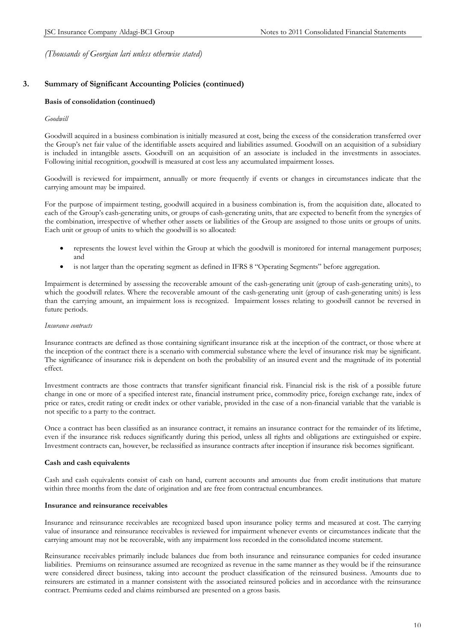# **3. Summary of Significant Accounting Policies (continued)**

#### **Basis of consolidation (continued)**

#### *Goodwill*

Goodwill acquired in a business combination is initially measured at cost, being the excess of the consideration transferred over the Group's net fair value of the identifiable assets acquired and liabilities assumed. Goodwill on an acquisition of a subsidiary is included in intangible assets. Goodwill on an acquisition of an associate is included in the investments in associates. Following initial recognition, goodwill is measured at cost less any accumulated impairment losses.

Goodwill is reviewed for impairment, annually or more frequently if events or changes in circumstances indicate that the carrying amount may be impaired.

For the purpose of impairment testing, goodwill acquired in a business combination is, from the acquisition date, allocated to each of the Group's cash-generating units, or groups of cash-generating units, that are expected to benefit from the synergies of the combination, irrespective of whether other assets or liabilities of the Group are assigned to those units or groups of units. Each unit or group of units to which the goodwill is so allocated:

- represents the lowest level within the Group at which the goodwill is monitored for internal management purposes; and
- is not larger than the operating segment as defined in IFRS 8 "Operating Segments" before aggregation.

Impairment is determined by assessing the recoverable amount of the cash-generating unit (group of cash-generating units), to which the goodwill relates. Where the recoverable amount of the cash-generating unit (group of cash-generating units) is less than the carrying amount, an impairment loss is recognized. Impairment losses relating to goodwill cannot be reversed in future periods.

#### *Insurance contracts*

Insurance contracts are defined as those containing significant insurance risk at the inception of the contract, or those where at the inception of the contract there is a scenario with commercial substance where the level of insurance risk may be significant. The significance of insurance risk is dependent on both the probability of an insured event and the magnitude of its potential effect.

Investment contracts are those contracts that transfer significant financial risk. Financial risk is the risk of a possible future change in one or more of a specified interest rate, financial instrument price, commodity price, foreign exchange rate, index of price or rates, credit rating or credit index or other variable, provided in the case of a non-financial variable that the variable is not specific to a party to the contract.

Once a contract has been classified as an insurance contract, it remains an insurance contract for the remainder of its lifetime, even if the insurance risk reduces significantly during this period, unless all rights and obligations are extinguished or expire. Investment contracts can, however, be reclassified as insurance contracts after inception if insurance risk becomes significant.

## **Cash and cash equivalents**

Cash and cash equivalents consist of cash on hand, current accounts and amounts due from credit institutions that mature within three months from the date of origination and are free from contractual encumbrances.

#### **Insurance and reinsurance receivables**

Insurance and reinsurance receivables are recognized based upon insurance policy terms and measured at cost. The carrying value of insurance and reinsurance receivables is reviewed for impairment whenever events or circumstances indicate that the carrying amount may not be recoverable, with any impairment loss recorded in the consolidated income statement.

Reinsurance receivables primarily include balances due from both insurance and reinsurance companies for ceded insurance liabilities. Premiums on reinsurance assumed are recognized as revenue in the same manner as they would be if the reinsurance were considered direct business, taking into account the product classification of the reinsured business. Amounts due to reinsurers are estimated in a manner consistent with the associated reinsured policies and in accordance with the reinsurance contract. Premiums ceded and claims reimbursed are presented on a gross basis.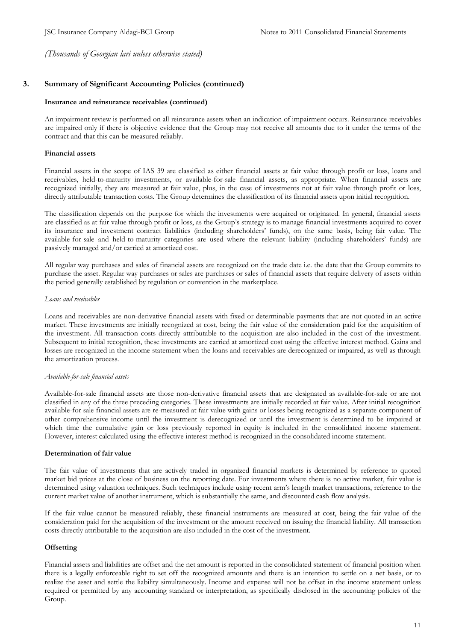# **3. Summary of Significant Accounting Policies (continued)**

#### **Insurance and reinsurance receivables (continued)**

An impairment review is performed on all reinsurance assets when an indication of impairment occurs. Reinsurance receivables are impaired only if there is objective evidence that the Group may not receive all amounts due to it under the terms of the contract and that this can be measured reliably.

#### **Financial assets**

Financial assets in the scope of IAS 39 are classified as either financial assets at fair value through profit or loss, loans and receivables, held-to-maturity investments, or available-for-sale financial assets, as appropriate. When financial assets are recognized initially, they are measured at fair value, plus, in the case of investments not at fair value through profit or loss, directly attributable transaction costs. The Group determines the classification of its financial assets upon initial recognition.

The classification depends on the purpose for which the investments were acquired or originated. In general, financial assets are classified as at fair value through profit or loss, as the Group's strategy is to manage financial investments acquired to cover its insurance and investment contract liabilities (including shareholders' funds), on the same basis, being fair value. The available-for-sale and held-to-maturity categories are used where the relevant liability (including shareholders' funds) are passively managed and/or carried at amortized cost.

All regular way purchases and sales of financial assets are recognized on the trade date i.e. the date that the Group commits to purchase the asset. Regular way purchases or sales are purchases or sales of financial assets that require delivery of assets within the period generally established by regulation or convention in the marketplace.

#### *Loans and receivables*

Loans and receivables are non-derivative financial assets with fixed or determinable payments that are not quoted in an active market. These investments are initially recognized at cost, being the fair value of the consideration paid for the acquisition of the investment. All transaction costs directly attributable to the acquisition are also included in the cost of the investment. Subsequent to initial recognition, these investments are carried at amortized cost using the effective interest method. Gains and losses are recognized in the income statement when the loans and receivables are derecognized or impaired, as well as through the amortization process.

#### *Available-for-sale financial assets*

Available-for-sale financial assets are those non-derivative financial assets that are designated as available-for-sale or are not classified in any of the three preceding categories. These investments are initially recorded at fair value. After initial recognition available-for sale financial assets are re-measured at fair value with gains or losses being recognized as a separate component of other comprehensive income until the investment is derecognized or until the investment is determined to be impaired at which time the cumulative gain or loss previously reported in equity is included in the consolidated income statement. However, interest calculated using the effective interest method is recognized in the consolidated income statement.

#### **Determination of fair value**

The fair value of investments that are actively traded in organized financial markets is determined by reference to quoted market bid prices at the close of business on the reporting date. For investments where there is no active market, fair value is determined using valuation techniques. Such techniques include using recent arm's length market transactions, reference to the current market value of another instrument, which is substantially the same, and discounted cash flow analysis.

If the fair value cannot be measured reliably, these financial instruments are measured at cost, being the fair value of the consideration paid for the acquisition of the investment or the amount received on issuing the financial liability. All transaction costs directly attributable to the acquisition are also included in the cost of the investment.

## **Offsetting**

Financial assets and liabilities are offset and the net amount is reported in the consolidated statement of financial position when there is a legally enforceable right to set off the recognized amounts and there is an intention to settle on a net basis, or to realize the asset and settle the liability simultaneously. Income and expense will not be offset in the income statement unless required or permitted by any accounting standard or interpretation, as specifically disclosed in the accounting policies of the Group.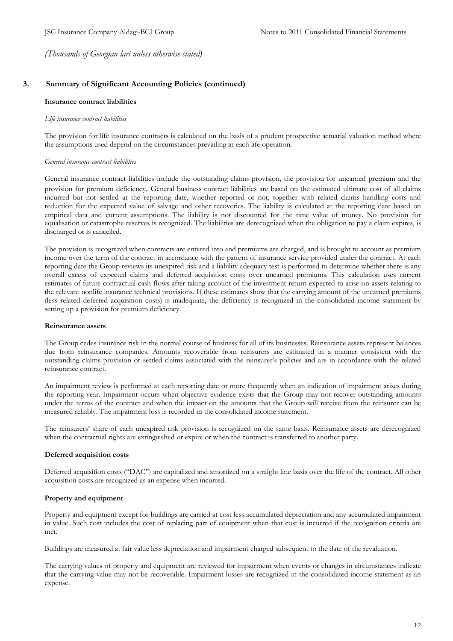# **3. Summary of Significant Accounting Policies (continued)**

#### **Insurance contract liabilities**

#### *Life insurance contract liabilities*

The provision for life insurance contracts is calculated on the basis of a prudent prospective actuarial valuation method where the assumptions used depend on the circumstances prevailing in each life operation.

#### *General insurance contract liabilities*

General insurance contract liabilities include the outstanding claims provision, the provision for unearned premium and the provision for premium deficiency. General business contract liabilities are based on the estimated ultimate cost of all claims incurred but not settled at the reporting date, whether reported or not, together with related claims handling costs and reduction for the expected value of salvage and other recoveries. The liability is calculated at the reporting date based on empirical data and current assumptions. The liability is not discounted for the time value of money. No provision for equalisation or catastrophe reserves is recognized. The liabilities are derecognized when the obligation to pay a claim expires, is discharged or is cancelled.

The provision is recognized when contracts are entered into and premiums are charged, and is brought to account as premium income over the term of the contract in accordance with the pattern of insurance service provided under the contract. At each reporting date the Group reviews its unexpired risk and a liability adequacy test is performed to determine whether there is any overall excess of expected claims and deferred acquisition costs over unearned premiums. This calculation uses current estimates of future contractual cash flows after taking account of the investment return expected to arise on assets relating to the relevant nonlife insurance technical provisions. If these estimates show that the carrying amount of the unearned premiums (less related deferred acquisition costs) is inadequate, the deficiency is recognized in the consolidated income statement by setting up a provision for premium deficiency.

#### **Reinsurance assets**

The Group cedes insurance risk in the normal course of business for all of its businesses. Reinsurance assets represent balances due from reinsurance companies. Amounts recoverable from reinsurers are estimated in a manner consistent with the outstanding claims provision or settled claims associated with the reinsurer's policies and are in accordance with the related reinsurance contract.

An impairment review is performed at each reporting date or more frequently when an indication of impairment arises during the reporting year. Impairment occurs when objective evidence exists that the Group may not recover outstanding amounts under the terms of the contract and when the impact on the amounts that the Group will receive from the reinsurer can be measured reliably. The impairment loss is recorded in the consolidated income statement.

The reinsurers' share of each unexpired risk provision is recognized on the same basis. Reinsurance assets are derecognized when the contractual rights are extinguished or expire or when the contract is transferred to another party.

#### **Deferred acquisition costs**

Deferred acquisition costs ("DAC") are capitalized and amortized on a straight line basis over the life of the contract. All other acquisition costs are recognized as an expense when incurred.

## **Property and equipment**

Property and equipment except for buildings are carried at cost less accumulated depreciation and any accumulated impairment in value. Such cost includes the cost of replacing part of equipment when that cost is incurred if the recognition criteria are met.

Buildings are measured at fair value less depreciation and impairment charged subsequent to the date of the revaluation.

The carrying values of property and equipment are reviewed for impairment when events or changes in circumstances indicate that the carrying value may not be recoverable. Impairment losses are recognized in the consolidated income statement as an expense.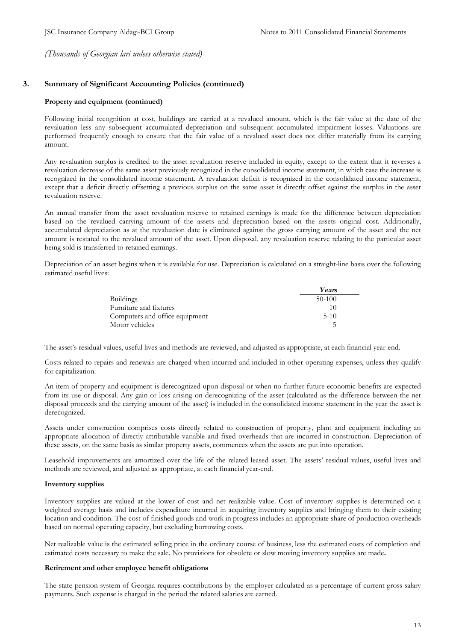# **3. Summary of Significant Accounting Policies (continued)**

#### **Property and equipment (continued)**

Following initial recognition at cost, buildings are carried at a revalued amount, which is the fair value at the date of the revaluation less any subsequent accumulated depreciation and subsequent accumulated impairment losses. Valuations are performed frequently enough to ensure that the fair value of a revalued asset does not differ materially from its carrying amount.

Any revaluation surplus is credited to the asset revaluation reserve included in equity, except to the extent that it reverses a revaluation decrease of the same asset previously recognized in the consolidated income statement, in which case the increase is recognized in the consolidated income statement. A revaluation deficit is recognized in the consolidated income statement, except that a deficit directly offsetting a previous surplus on the same asset is directly offset against the surplus in the asset revaluation reserve.

An annual transfer from the asset revaluation reserve to retained earnings is made for the difference between depreciation based on the revalued carrying amount of the assets and depreciation based on the assets original cost. Additionally, accumulated depreciation as at the revaluation date is eliminated against the gross carrying amount of the asset and the net amount is restated to the revalued amount of the asset. Upon disposal, any revaluation reserve relating to the particular asset being sold is transferred to retained earnings.

Depreciation of an asset begins when it is available for use. Depreciation is calculated on a straight-line basis over the following estimated useful lives:

|                                | Years    |
|--------------------------------|----------|
| <b>Buildings</b>               | $50-100$ |
| Furniture and fixtures         | 10       |
| Computers and office equipment | $5-10$   |
| Motor vehicles                 |          |

The asset's residual values, useful lives and methods are reviewed, and adjusted as appropriate, at each financial year-end.

Costs related to repairs and renewals are charged when incurred and included in other operating expenses, unless they qualify for capitalization.

An item of property and equipment is derecognized upon disposal or when no further future economic benefits are expected from its use or disposal. Any gain or loss arising on derecognizing of the asset (calculated as the difference between the net disposal proceeds and the carrying amount of the asset) is included in the consolidated income statement in the year the asset is derecognized.

Assets under construction comprises costs directly related to construction of property, plant and equipment including an appropriate allocation of directly attributable variable and fixed overheads that are incurred in construction. Depreciation of these assets, on the same basis as similar property assets, commences when the assets are put into operation.

Leasehold improvements are amortized over the life of the related leased asset. The assets' residual values, useful lives and methods are reviewed, and adjusted as appropriate, at each financial year-end.

#### **Inventory supplies**

Inventory supplies are valued at the lower of cost and net realizable value. Cost of inventory supplies is determined on a weighted average basis and includes expenditure incurred in acquiring inventory supplies and bringing them to their existing location and condition. The cost of finished goods and work in progress includes an appropriate share of production overheads based on normal operating capacity, but excluding borrowing costs.

Net realizable value is the estimated selling price in the ordinary course of business, less the estimated costs of completion and estimated costs necessary to make the sale. No provisions for obsolete or slow moving inventory supplies are made**.** 

#### **Retirement and other employee benefit obligations**

The state pension system of Georgia requires contributions by the employer calculated as a percentage of current gross salary payments. Such expense is charged in the period the related salaries are earned.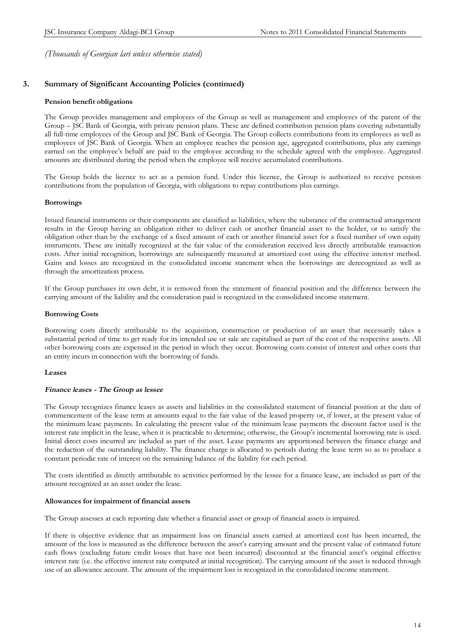# **3. Summary of Significant Accounting Policies (continued)**

#### **Pension benefit obligations**

The Group provides management and employees of the Group as well as management and employees of the parent of the Group – JSC Bank of Georgia, with private pension plans. These are defined contribution pension plans covering substantially all full-time employees of the Group and JSC Bank of Georgia. The Group collects contributions from its employees as well as employees of JSC Bank of Georgia. When an employee reaches the pension age, aggregated contributions, plus any earnings earned on the employee's behalf are paid to the employee according to the schedule agreed with the employee. Aggregated amounts are distributed during the period when the employee will receive accumulated contributions.

The Group holds the licence to act as a pension fund. Under this licence, the Group is authorized to receive pension contributions from the population of Georgia, with obligations to repay contributions plus earnings.

#### **Borrowings**

Issued financial instruments or their components are classified as liabilities, where the substance of the contractual arrangement results in the Group having an obligation either to deliver cash or another financial asset to the holder, or to satisfy the obligation other than by the exchange of a fixed amount of each or another financial asset for a fixed number of own equity instruments. These are initially recognized at the fair value of the consideration received less directly attributable transaction costs. After initial recognition, borrowings are subsequently measured at amortized cost using the effective interest method. Gains and losses are recognized in the consolidated income statement when the borrowings are derecognized as well as through the amortization process.

If the Group purchases its own debt, it is removed from the statement of financial position and the difference between the carrying amount of the liability and the consideration paid is recognized in the consolidated income statement.

#### **Borrowing Costs**

Borrowing costs directly attributable to the acquisition, construction or production of an asset that necessarily takes a substantial period of time to get ready for its intended use or sale are capitalised as part of the cost of the respective assets. All other borrowing costs are expensed in the period in which they occur. Borrowing costs consist of interest and other costs that an entity incurs in connection with the borrowing of funds.

#### **Leases**

#### *Finance leases - The Group as lessee*

The Group recognizes finance leases as assets and liabilities in the consolidated statement of financial position at the date of commencement of the lease term at amounts equal to the fair value of the leased property or, if lower, at the present value of the minimum lease payments. In calculating the present value of the minimum lease payments the discount factor used is the interest rate implicit in the lease, when it is practicable to determine; otherwise, the Group's incremental borrowing rate is used. Initial direct costs incurred are included as part of the asset. Lease payments are apportioned between the finance charge and the reduction of the outstanding liability. The finance charge is allocated to periods during the lease term so as to produce a constant periodic rate of interest on the remaining balance of the liability for each period.

The costs identified as directly attributable to activities performed by the lessee for a finance lease, are included as part of the amount recognized as an asset under the lease.

#### **Allowances for impairment of financial assets**

The Group assesses at each reporting date whether a financial asset or group of financial assets is impaired.

If there is objective evidence that an impairment loss on financial assets carried at amortized cost has been incurred, the amount of the loss is measured as the difference between the asset's carrying amount and the present value of estimated future cash flows (excluding future credit losses that have not been incurred) discounted at the financial asset's original effective interest rate (i.e. the effective interest rate computed at initial recognition). The carrying amount of the asset is reduced through use of an allowance account. The amount of the impairment loss is recognized in the consolidated income statement.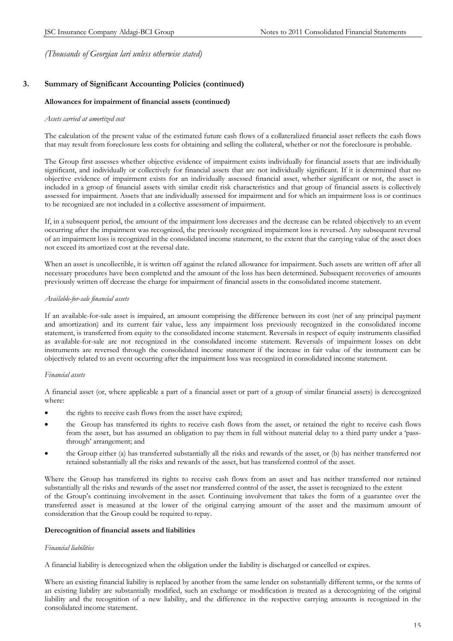# **3. Summary of Significant Accounting Policies (continued)**

#### **Allowances for impairment of financial assets (continued)**

#### *Assets carried at amortized cost*

The calculation of the present value of the estimated future cash flows of a collateralized financial asset reflects the cash flows that may result from foreclosure less costs for obtaining and selling the collateral, whether or not the foreclosure is probable.

The Group first assesses whether objective evidence of impairment exists individually for financial assets that are individually significant, and individually or collectively for financial assets that are not individually significant. If it is determined that no objective evidence of impairment exists for an individually assessed financial asset, whether significant or not, the asset is included in a group of financial assets with similar credit risk characteristics and that group of financial assets is collectively assessed for impairment. Assets that are individually assessed for impairment and for which an impairment loss is or continues to be recognized are not included in a collective assessment of impairment.

If, in a subsequent period, the amount of the impairment loss decreases and the decrease can be related objectively to an event occurring after the impairment was recognized, the previously recognized impairment loss is reversed. Any subsequent reversal of an impairment loss is recognized in the consolidated income statement, to the extent that the carrying value of the asset does not exceed its amortized cost at the reversal date.

When an asset is uncollectible, it is written off against the related allowance for impairment. Such assets are written off after all necessary procedures have been completed and the amount of the loss has been determined. Subsequent recoveries of amounts previously written off decrease the charge for impairment of financial assets in the consolidated income statement.

#### *Available-for-sale financial assets*

If an available-for-sale asset is impaired, an amount comprising the difference between its cost (net of any principal payment and amortization) and its current fair value, less any impairment loss previously recognized in the consolidated income statement, is transferred from equity to the consolidated income statement. Reversals in respect of equity instruments classified as available-for-sale are not recognized in the consolidated income statement. Reversals of impairment losses on debt instruments are reversed through the consolidated income statement if the increase in fair value of the instrument can be objectively related to an event occurring after the impairment loss was recognized in consolidated income statement.

#### *Financial assets*

A financial asset (or, where applicable a part of a financial asset or part of a group of similar financial assets) is derecognized where:

- the rights to receive cash flows from the asset have expired;
- · the Group has transferred its rights to receive cash flows from the asset, or retained the right to receive cash flows from the asset, but has assumed an obligation to pay them in full without material delay to a third party under a 'passthrough' arrangement; and
- the Group either (a) has transferred substantially all the risks and rewards of the asset, or (b) has neither transferred nor retained substantially all the risks and rewards of the asset, but has transferred control of the asset.

Where the Group has transferred its rights to receive cash flows from an asset and has neither transferred nor retained substantially all the risks and rewards of the asset nor transferred control of the asset, the asset is recognized to the extent of the Group's continuing involvement in the asset. Continuing involvement that takes the form of a guarantee over the transferred asset is measured at the lower of the original carrying amount of the asset and the maximum amount of consideration that the Group could be required to repay.

#### **Derecognition of financial assets and liabilities**

#### *Financial liabilities*

A financial liability is derecognized when the obligation under the liability is discharged or cancelled or expires.

Where an existing financial liability is replaced by another from the same lender on substantially different terms, or the terms of an existing liability are substantially modified, such an exchange or modification is treated as a derecognizing of the original liability and the recognition of a new liability, and the difference in the respective carrying amounts is recognized in the consolidated income statement.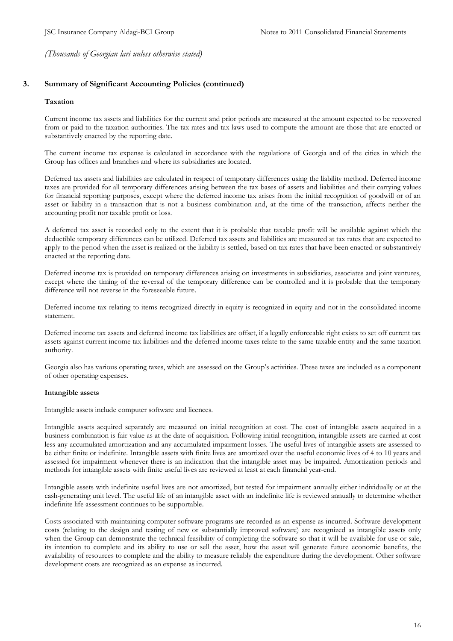# **3. Summary of Significant Accounting Policies (continued)**

#### **Taxation**

Current income tax assets and liabilities for the current and prior periods are measured at the amount expected to be recovered from or paid to the taxation authorities. The tax rates and tax laws used to compute the amount are those that are enacted or substantively enacted by the reporting date.

The current income tax expense is calculated in accordance with the regulations of Georgia and of the cities in which the Group has offices and branches and where its subsidiaries are located.

Deferred tax assets and liabilities are calculated in respect of temporary differences using the liability method. Deferred income taxes are provided for all temporary differences arising between the tax bases of assets and liabilities and their carrying values for financial reporting purposes, except where the deferred income tax arises from the initial recognition of goodwill or of an asset or liability in a transaction that is not a business combination and, at the time of the transaction, affects neither the accounting profit nor taxable profit or loss.

A deferred tax asset is recorded only to the extent that it is probable that taxable profit will be available against which the deductible temporary differences can be utilized. Deferred tax assets and liabilities are measured at tax rates that are expected to apply to the period when the asset is realized or the liability is settled, based on tax rates that have been enacted or substantively enacted at the reporting date.

Deferred income tax is provided on temporary differences arising on investments in subsidiaries, associates and joint ventures, except where the timing of the reversal of the temporary difference can be controlled and it is probable that the temporary difference will not reverse in the foreseeable future.

Deferred income tax relating to items recognized directly in equity is recognized in equity and not in the consolidated income statement.

Deferred income tax assets and deferred income tax liabilities are offset, if a legally enforceable right exists to set off current tax assets against current income tax liabilities and the deferred income taxes relate to the same taxable entity and the same taxation authority.

Georgia also has various operating taxes, which are assessed on the Group's activities. These taxes are included as a component of other operating expenses.

## **Intangible assets**

Intangible assets include computer software and licences.

Intangible assets acquired separately are measured on initial recognition at cost. The cost of intangible assets acquired in a business combination is fair value as at the date of acquisition. Following initial recognition, intangible assets are carried at cost less any accumulated amortization and any accumulated impairment losses. The useful lives of intangible assets are assessed to be either finite or indefinite. Intangible assets with finite lives are amortized over the useful economic lives of 4 to 10 years and assessed for impairment whenever there is an indication that the intangible asset may be impaired. Amortization periods and methods for intangible assets with finite useful lives are reviewed at least at each financial year-end.

Intangible assets with indefinite useful lives are not amortized, but tested for impairment annually either individually or at the cash-generating unit level. The useful life of an intangible asset with an indefinite life is reviewed annually to determine whether indefinite life assessment continues to be supportable.

Costs associated with maintaining computer software programs are recorded as an expense as incurred. Software development costs (relating to the design and testing of new or substantially improved software) are recognized as intangible assets only when the Group can demonstrate the technical feasibility of completing the software so that it will be available for use or sale, its intention to complete and its ability to use or sell the asset, how the asset will generate future economic benefits, the availability of resources to complete and the ability to measure reliably the expenditure during the development. Other software development costs are recognized as an expense as incurred.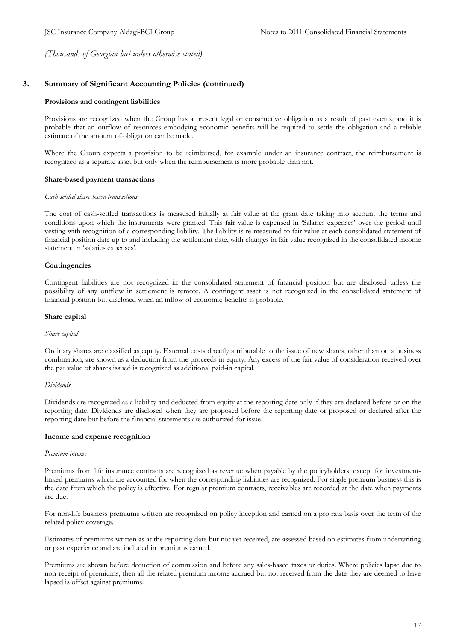# **3. Summary of Significant Accounting Policies (continued)**

#### **Provisions and contingent liabilities**

Provisions are recognized when the Group has a present legal or constructive obligation as a result of past events, and it is probable that an outflow of resources embodying economic benefits will be required to settle the obligation and a reliable estimate of the amount of obligation can be made.

Where the Group expects a provision to be reimbursed, for example under an insurance contract, the reimbursement is recognized as a separate asset but only when the reimbursement is more probable than not.

#### **Share-based payment transactions**

#### *Cash-settled share-based transactions*

The cost of cash-settled transactions is measured initially at fair value at the grant date taking into account the terms and conditions upon which the instruments were granted. This fair value is expensed in 'Salaries expenses' over the period until vesting with recognition of a corresponding liability. The liability is re-measured to fair value at each consolidated statement of financial position date up to and including the settlement date, with changes in fair value recognized in the consolidated income statement in 'salaries expenses'.

#### **Contingencies**

Contingent liabilities are not recognized in the consolidated statement of financial position but are disclosed unless the possibility of any outflow in settlement is remote. A contingent asset is not recognized in the consolidated statement of financial position but disclosed when an inflow of economic benefits is probable.

#### **Share capital**

#### *Share capital*

Ordinary shares are classified as equity. External costs directly attributable to the issue of new shares, other than on a business combination, are shown as a deduction from the proceeds in equity. Any excess of the fair value of consideration received over the par value of shares issued is recognized as additional paid-in capital.

#### *Dividends*

Dividends are recognized as a liability and deducted from equity at the reporting date only if they are declared before or on the reporting date. Dividends are disclosed when they are proposed before the reporting date or proposed or declared after the reporting date but before the financial statements are authorized for issue.

#### **Income and expense recognition**

#### *Premium income*

Premiums from life insurance contracts are recognized as revenue when payable by the policyholders, except for investmentlinked premiums which are accounted for when the corresponding liabilities are recognized. For single premium business this is the date from which the policy is effective. For regular premium contracts, receivables are recorded at the date when payments are due.

For non-life business premiums written are recognized on policy inception and earned on a pro rata basis over the term of the related policy coverage.

Estimates of premiums written as at the reporting date but not yet received, are assessed based on estimates from underwriting or past experience and are included in premiums earned.

Premiums are shown before deduction of commission and before any sales-based taxes or duties. Where policies lapse due to non-receipt of premiums, then all the related premium income accrued but not received from the date they are deemed to have lapsed is offset against premiums.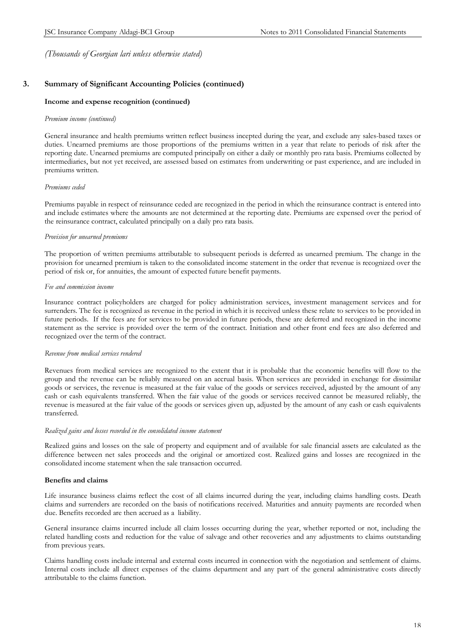# **3. Summary of Significant Accounting Policies (continued)**

#### **Income and expense recognition (continued)**

#### *Premium income (continued)*

General insurance and health premiums written reflect business incepted during the year, and exclude any sales-based taxes or duties. Unearned premiums are those proportions of the premiums written in a year that relate to periods of risk after the reporting date. Unearned premiums are computed principally on either a daily or monthly pro rata basis. Premiums collected by intermediaries, but not yet received, are assessed based on estimates from underwriting or past experience, and are included in premiums written.

#### *Premiums ceded*

Premiums payable in respect of reinsurance ceded are recognized in the period in which the reinsurance contract is entered into and include estimates where the amounts are not determined at the reporting date. Premiums are expensed over the period of the reinsurance contract, calculated principally on a daily pro rata basis.

#### *Provision for unearned premiums*

The proportion of written premiums attributable to subsequent periods is deferred as unearned premium. The change in the provision for unearned premium is taken to the consolidated income statement in the order that revenue is recognized over the period of risk or, for annuities, the amount of expected future benefit payments.

#### *Fee and commission income*

Insurance contract policyholders are charged for policy administration services, investment management services and for surrenders. The fee is recognized as revenue in the period in which it is received unless these relate to services to be provided in future periods. If the fees are for services to be provided in future periods, these are deferred and recognized in the income statement as the service is provided over the term of the contract. Initiation and other front end fees are also deferred and recognized over the term of the contract.

#### *Revenue from medical services rendered*

Revenues from medical services are recognized to the extent that it is probable that the economic benefits will flow to the group and the revenue can be reliably measured on an accrual basis. When services are provided in exchange for dissimilar goods or services, the revenue is measured at the fair value of the goods or services received, adjusted by the amount of any cash or cash equivalents transferred. When the fair value of the goods or services received cannot be measured reliably, the revenue is measured at the fair value of the goods or services given up, adjusted by the amount of any cash or cash equivalents transferred.

#### *Realized gains and losses recorded in the consolidated income statement*

Realized gains and losses on the sale of property and equipment and of available for sale financial assets are calculated as the difference between net sales proceeds and the original or amortized cost. Realized gains and losses are recognized in the consolidated income statement when the sale transaction occurred.

#### **Benefits and claims**

Life insurance business claims reflect the cost of all claims incurred during the year, including claims handling costs. Death claims and surrenders are recorded on the basis of notifications received. Maturities and annuity payments are recorded when due. Benefits recorded are then accrued as a liability.

General insurance claims incurred include all claim losses occurring during the year, whether reported or not, including the related handling costs and reduction for the value of salvage and other recoveries and any adjustments to claims outstanding from previous years.

Claims handling costs include internal and external costs incurred in connection with the negotiation and settlement of claims. Internal costs include all direct expenses of the claims department and any part of the general administrative costs directly attributable to the claims function.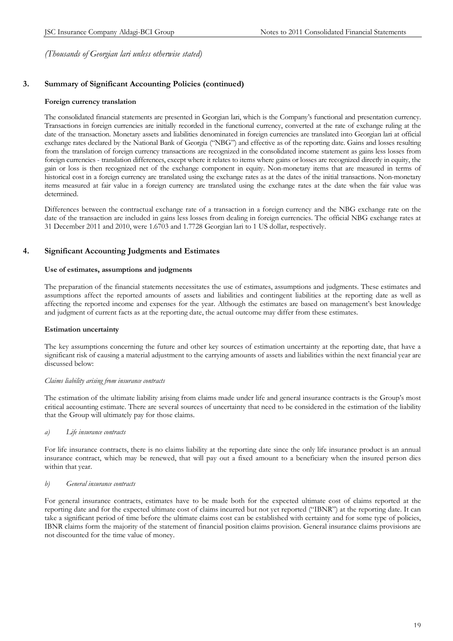# **3. Summary of Significant Accounting Policies (continued)**

#### **Foreign currency translation**

The consolidated financial statements are presented in Georgian lari, which is the Company's functional and presentation currency. Transactions in foreign currencies are initially recorded in the functional currency, converted at the rate of exchange ruling at the date of the transaction. Monetary assets and liabilities denominated in foreign currencies are translated into Georgian lari at official exchange rates declared by the National Bank of Georgia ("NBG") and effective as of the reporting date. Gains and losses resulting from the translation of foreign currency transactions are recognized in the consolidated income statement as gains less losses from foreign currencies - translation differences, except where it relates to items where gains or losses are recognized directly in equity, the gain or loss is then recognized net of the exchange component in equity. Non-monetary items that are measured in terms of historical cost in a foreign currency are translated using the exchange rates as at the dates of the initial transactions. Non-monetary items measured at fair value in a foreign currency are translated using the exchange rates at the date when the fair value was determined.

Differences between the contractual exchange rate of a transaction in a foreign currency and the NBG exchange rate on the date of the transaction are included in gains less losses from dealing in foreign currencies. The official NBG exchange rates at 31 December 2011 and 2010, were 1.6703 and 1.7728 Georgian lari to 1 US dollar, respectively.

# **4. Significant Accounting Judgments and Estimates**

#### **Use of estimates, assumptions and judgments**

The preparation of the financial statements necessitates the use of estimates, assumptions and judgments. These estimates and assumptions affect the reported amounts of assets and liabilities and contingent liabilities at the reporting date as well as affecting the reported income and expenses for the year. Although the estimates are based on management's best knowledge and judgment of current facts as at the reporting date, the actual outcome may differ from these estimates.

#### **Estimation uncertainty**

The key assumptions concerning the future and other key sources of estimation uncertainty at the reporting date, that have a significant risk of causing a material adjustment to the carrying amounts of assets and liabilities within the next financial year are discussed below:

#### *Claims liability arising from insurance contracts*

The estimation of the ultimate liability arising from claims made under life and general insurance contracts is the Group's most critical accounting estimate. There are several sources of uncertainty that need to be considered in the estimation of the liability that the Group will ultimately pay for those claims.

#### *a) Life insurance contracts*

For life insurance contracts, there is no claims liability at the reporting date since the only life insurance product is an annual insurance contract, which may be renewed, that will pay out a fixed amount to a beneficiary when the insured person dies within that year.

#### *b) General insurance contracts*

For general insurance contracts, estimates have to be made both for the expected ultimate cost of claims reported at the reporting date and for the expected ultimate cost of claims incurred but not yet reported ("IBNR") at the reporting date. It can take a significant period of time before the ultimate claims cost can be established with certainty and for some type of policies, IBNR claims form the majority of the statement of financial position claims provision. General insurance claims provisions are not discounted for the time value of money.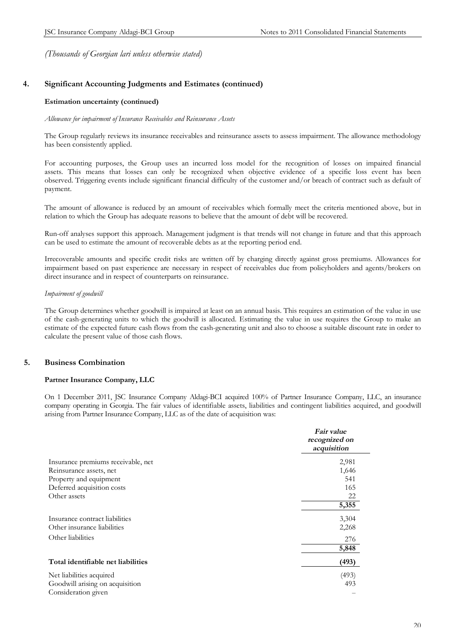# **4. Significant Accounting Judgments and Estimates (continued)**

#### **Estimation uncertainty (continued)**

#### *Allowance for impairment of Insurance Receivables and Reinsurance Assets*

The Group regularly reviews its insurance receivables and reinsurance assets to assess impairment. The allowance methodology has been consistently applied.

For accounting purposes, the Group uses an incurred loss model for the recognition of losses on impaired financial assets. This means that losses can only be recognized when objective evidence of a specific loss event has been observed. Triggering events include significant financial difficulty of the customer and/or breach of contract such as default of payment.

The amount of allowance is reduced by an amount of receivables which formally meet the criteria mentioned above, but in relation to which the Group has adequate reasons to believe that the amount of debt will be recovered.

Run-off analyses support this approach. Management judgment is that trends will not change in future and that this approach can be used to estimate the amount of recoverable debts as at the reporting period end.

Irrecoverable amounts and specific credit risks are written off by charging directly against gross premiums. Allowances for impairment based on past experience are necessary in respect of receivables due from policyholders and agents/brokers on direct insurance and in respect of counterparts on reinsurance.

#### *Impairment of goodwill*

The Group determines whether goodwill is impaired at least on an annual basis. This requires an estimation of the value in use of the cash-generating units to which the goodwill is allocated. Estimating the value in use requires the Group to make an estimate of the expected future cash flows from the cash-generating unit and also to choose a suitable discount rate in order to calculate the present value of those cash flows.

# **5. Business Combination**

#### **Partner Insurance Company, LLC**

On 1 December 2011, JSC Insurance Company Aldagi-BCI acquired 100% of Partner Insurance Company, LLC, an insurance company operating in Georgia. The fair values of identifiable assets, liabilities and contingent liabilities acquired, and goodwill arising from Partner Insurance Company, LLC as of the date of acquisition was:

|                                    | Fair value<br>recognized on<br>acquisition |
|------------------------------------|--------------------------------------------|
| Insurance premiums receivable, net | 2,981                                      |
| Reinsurance assets, net            | 1,646                                      |
| Property and equipment             | 541                                        |
| Deferred acquisition costs         | 165                                        |
| Other assets                       | 22                                         |
|                                    | 5,355                                      |
| Insurance contract liabilities     | 3,304                                      |
| Other insurance liabilities        | 2,268                                      |
| Other liabilities                  | 276                                        |
|                                    | 5,848                                      |
| Total identifiable net liabilities | (493)                                      |
| Net liabilities acquired           | (493)                                      |
| Goodwill arising on acquisition    | 493                                        |
| Consideration given                |                                            |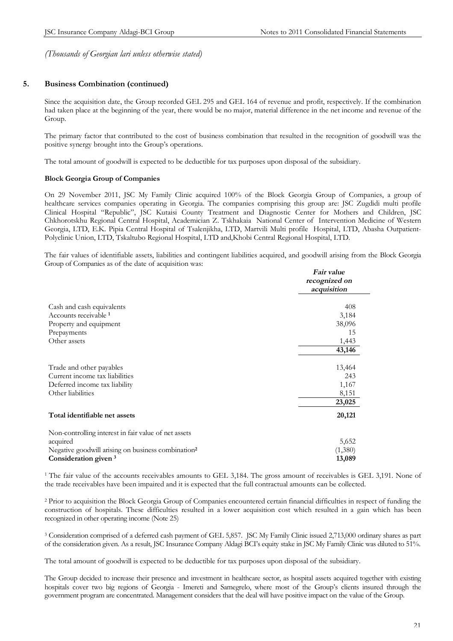# **5. Business Combination (continued)**

Since the acquisition date, the Group recorded GEL 295 and GEL 164 of revenue and profit, respectively. If the combination had taken place at the beginning of the year, there would be no major, material difference in the net income and revenue of the Group.

The primary factor that contributed to the cost of business combination that resulted in the recognition of goodwill was the positive synergy brought into the Group's operations.

The total amount of goodwill is expected to be deductible for tax purposes upon disposal of the subsidiary.

## **Block Georgia Group of Companies**

On 29 November 2011, JSC My Family Clinic acquired 100% of the Block Georgia Group of Companies, a group of healthcare services companies operating in Georgia. The companies comprising this group are: JSC Zugdidi multi profile Clinical Hospital "Republic", JSC Kutaisi County Treatment and Diagnostic Center for Mothers and Children, JSC Chkhorotskhu Regional Central Hospital, Academician Z. Tskhakaia National Center of Intervention Medicine of Western Georgia, LTD, E.K. Pipia Central Hospital of Tsalenjikha, LTD, Martvili Multi profile Hospital, LTD, Abasha Outpatient-Polyclinic Union, LTD, Tskaltubo Regional Hospital, LTD and,Khobi Central Regional Hospital, LTD.

The fair values of identifiable assets, liabilities and contingent liabilities acquired, and goodwill arising from the Block Georgia Group of Companies as of the date of acquisition was:

|                                                                | Fair value<br>recognized on<br>acquisition |
|----------------------------------------------------------------|--------------------------------------------|
| Cash and cash equivalents                                      | 408                                        |
| Accounts receivable <sup>1</sup>                               | 3,184                                      |
| Property and equipment                                         | 38,096                                     |
| Prepayments                                                    | 15                                         |
| Other assets                                                   | 1,443                                      |
|                                                                | 43,146                                     |
| Trade and other payables                                       | 13,464                                     |
| Current income tax liabilities                                 | 243                                        |
| Deferred income tax liability                                  | 1,167                                      |
| Other liabilities                                              | 8,151                                      |
|                                                                | 23,025                                     |
| Total identifiable net assets                                  | 20,121                                     |
| Non-controlling interest in fair value of net assets           |                                            |
| acquired                                                       | 5,652                                      |
| Negative goodwill arising on business combination <sup>2</sup> | (1,380)                                    |
| Consideration given <sup>3</sup>                               | 13,089                                     |

<sup>1</sup> The fair value of the accounts receivables amounts to GEL 3,184. The gross amount of receivables is GEL 3,191. None of the trade receivables have been impaired and it is expected that the full contractual amounts can be collected.

<sup>2</sup> Prior to acquisition the Block Georgia Group of Companies encountered certain financial difficulties in respect of funding the construction of hospitals. These difficulties resulted in a lower acquisition cost which resulted in a gain which has been recognized in other operating income (Note 25)

<sup>3</sup> Consideration comprised of a deferred cash payment of GEL 5,857. JSC My Family Clinic issued 2,713,000 ordinary shares as part of the consideration given. As a result, JSC Insurance Company Aldagi BCI's equity stake in JSC My Family Clinic was diluted to 51%.

The total amount of goodwill is expected to be deductible for tax purposes upon disposal of the subsidiary.

The Group decided to increase their presence and investment in healthcare sector, as hospital assets acquired together with existing hospitals cover two big regions of Georgia - Imereti and Samegrelo, where most of the Group's clients insured through the government program are concentrated. Management considers that the deal will have positive impact on the value of the Group.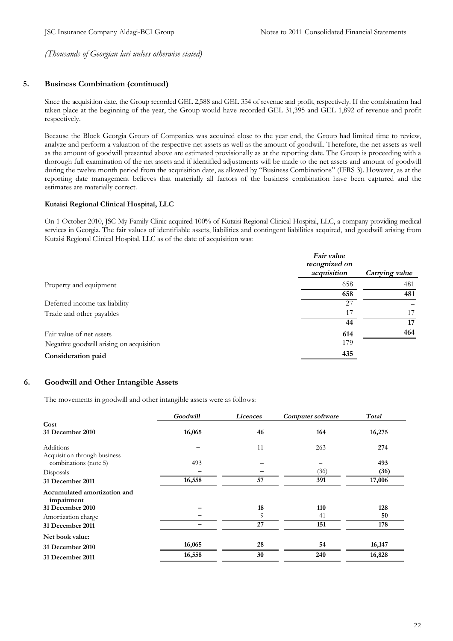# **5. Business Combination (continued)**

Since the acquisition date, the Group recorded GEL 2,588 and GEL 354 of revenue and profit, respectively. If the combination had taken place at the beginning of the year, the Group would have recorded GEL 31,395 and GEL 1,892 of revenue and profit respectively.

Because the Block Georgia Group of Companies was acquired close to the year end, the Group had limited time to review, analyze and perform a valuation of the respective net assets as well as the amount of goodwill. Therefore, the net assets as well as the amount of goodwill presented above are estimated provisionally as at the reporting date. The Group is proceeding with a thorough full examination of the net assets and if identified adjustments will be made to the net assets and amount of goodwill during the twelve month period from the acquisition date, as allowed by "Business Combinations" (IFRS 3). However, as at the reporting date management believes that materially all factors of the business combination have been captured and the estimates are materially correct.

#### **Kutaisi Regional Clinical Hospital, LLC**

On 1 October 2010, JSC My Family Clinic acquired 100% of Kutaisi Regional Clinical Hospital, LLC, a company providing medical services in Georgia. The fair values of identifiable assets, liabilities and contingent liabilities acquired, and goodwill arising from Kutaisi Regional Clinical Hospital, LLC as of the date of acquisition was:

|                                          | <i>Fair value</i><br>recognized on<br>acquisition | Carrying value |
|------------------------------------------|---------------------------------------------------|----------------|
| Property and equipment                   | 658                                               | 481            |
|                                          | 658                                               | 481            |
| Deferred income tax liability            | 27                                                |                |
| Trade and other payables                 | 17                                                | 17             |
|                                          | 44                                                | 17             |
| Fair value of net assets                 | 614                                               | 464            |
| Negative goodwill arising on acquisition | 179                                               |                |
| Consideration paid                       | 435                                               |                |
|                                          |                                                   |                |

## **6. Goodwill and Other Intangible Assets**

The movements in goodwill and other intangible assets were as follows:

|                                            | Goodwill | Licences | Computer software | Total  |
|--------------------------------------------|----------|----------|-------------------|--------|
| Cost                                       |          |          |                   |        |
| 31 December 2010                           | 16,065   | 46       | 164               | 16,275 |
| Additions                                  |          | 11       | 263               | 274    |
| Acquisition through business               |          |          |                   |        |
| combinations (note 5)                      | 493      |          |                   | 493    |
| Disposals                                  |          |          | (36)              | (36)   |
| 31 December 2011                           | 16,558   | 57       | 391               | 17,006 |
| Accumulated amortization and<br>impairment |          |          |                   |        |
| 31 December 2010                           |          | 18       | 110               | 128    |
| Amortization charge                        |          | 9        | 41                | 50     |
| 31 December 2011                           |          | 27       | 151               | 178    |
| Net book value:                            |          |          |                   |        |
| 31 December 2010                           | 16,065   | 28       | 54                | 16,147 |
| 31 December 2011                           | 16,558   | 30       | 240               | 16,828 |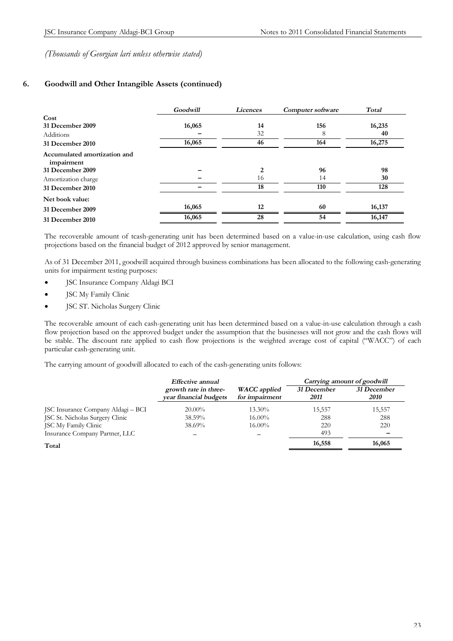# **6. Goodwill and Other Intangible Assets (continued)**

|                                            | Goodwill | Licences<br>Computer software |     | Total  |
|--------------------------------------------|----------|-------------------------------|-----|--------|
| Cost                                       |          |                               |     |        |
| 31 December 2009                           | 16,065   | 14                            | 156 | 16,235 |
| <b>Additions</b>                           |          | 32                            | 8   | 40     |
| 31 December 2010                           | 16,065   | 46                            | 164 | 16,275 |
| Accumulated amortization and<br>impairment |          |                               |     |        |
| 31 December 2009                           |          | 2                             | 96  | 98     |
| Amortization charge                        |          | 16                            | 14  | 30     |
| 31 December 2010                           |          | 18                            | 110 | 128    |
| Net book value:                            |          |                               |     |        |
| 31 December 2009                           | 16,065   | 12                            | 60  | 16,137 |
| 31 December 2010                           | 16,065   | 28                            | 54  | 16,147 |

The recoverable amount of tcash-generating unit has been determined based on a value-in-use calculation, using cash flow projections based on the financial budget of 2012 approved by senior management.

As of 31 December 2011, goodwill acquired through business combinations has been allocated to the following cash-generating units for impairment testing purposes:

- JSC Insurance Company Aldagi BCI
- JSC My Family Clinic
- · JSC ST. Nicholas Surgery Clinic

The recoverable amount of each cash-generating unit has been determined based on a value-in-use calculation through a cash flow projection based on the approved budget under the assumption that the businesses will not grow and the cash flows will be stable. The discount rate applied to cash flow projections is the weighted average cost of capital ("WACC") of each particular cash-generating unit.

The carrying amount of goodwill allocated to each of the cash-generating units follows:

|                                    | Effective annual                                |                                       |                     | Carrying amount of goodwill |
|------------------------------------|-------------------------------------------------|---------------------------------------|---------------------|-----------------------------|
|                                    | growth rate in three-<br>vear financial budgets | <b>WACC</b> applied<br>for impairment | 31 December<br>2011 | 31 December<br>2010         |
| JSC Insurance Company Aldagi - BCI | $20.00\%$                                       | $13.30\%$                             | 15,557              | 15,557                      |
| JSC St. Nicholas Surgery Clinic    | 38.59%                                          | $16.00\%$                             | 288                 | 288                         |
| JSC My Family Clinic               | 38.69%                                          | $16.00\%$                             | 220                 | 220                         |
| Insurance Company Partner, LLC     |                                                 |                                       | 493                 |                             |
| Total                              |                                                 |                                       | 16,558              | 16,065                      |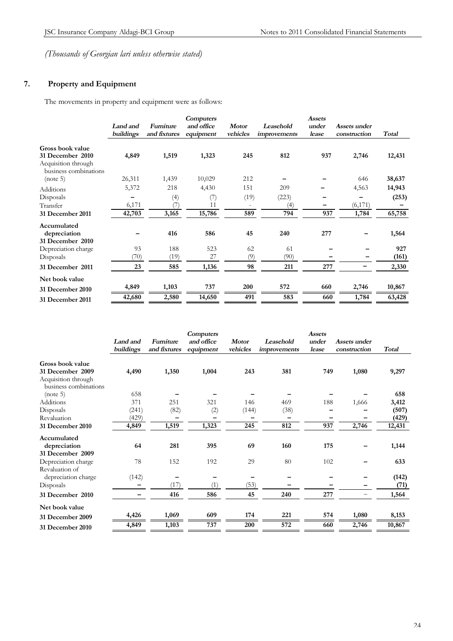# **7. Property and Equipment**

The movements in property and equipment were as follows:

|                                                                  | Land and<br>buildings | <b>Furniture</b><br>and fixtures | <b>Computers</b><br>and office<br>equipment | <b>Motor</b><br>vehicles | Leasehold<br><i>improvements</i> | <b>Assets</b><br>under<br>lease | Assets under<br>construction | <b>Total</b> |
|------------------------------------------------------------------|-----------------------|----------------------------------|---------------------------------------------|--------------------------|----------------------------------|---------------------------------|------------------------------|--------------|
| Gross book value                                                 |                       |                                  |                                             |                          |                                  |                                 |                              |              |
| 31 December 2010<br>Acquisition through<br>business combinations | 4,849                 | 1,519                            | 1,323                                       | 245                      | 812                              | 937                             | 2,746                        | 12,431       |
| (note 5)                                                         | 26,311                | 1,439                            | 10,029                                      | 212                      |                                  |                                 | 646                          | 38,637       |
| Additions                                                        | 5,372                 | 218                              | 4,430                                       | 151                      | 209                              |                                 | 4,563                        | 14,943       |
| Disposals                                                        |                       | (4)                              | (7)                                         | (19)                     | (223)                            |                                 |                              | (253)        |
| Transfer                                                         | 6,171                 | U.                               | 11                                          |                          | (4)                              |                                 | (6,171)                      |              |
| 31 December 2011                                                 | 42,703                | 3,165                            | 15,786                                      | 589                      | 794                              | 937                             | 1,784                        | 65,758       |
| Accumulated<br>depreciation<br>31 December 2010                  |                       | 416                              | 586                                         | 45                       | 240                              | 277                             |                              | 1,564        |
| Depreciation charge                                              | 93                    | 188                              | 523                                         | 62                       | 61                               |                                 |                              | 927          |
| Disposals                                                        | (70)                  | (19)                             | 27                                          | (9)                      | (90)                             |                                 |                              | (161)        |
| 31 December 2011                                                 | 23                    | 585                              | 1,136                                       | 98                       | 211                              | 277                             |                              | 2,330        |
| Net book value                                                   |                       |                                  |                                             |                          |                                  |                                 |                              |              |
| <b>31 December 2010</b>                                          | 4,849                 | 1,103                            | 737                                         | 200                      | 572                              | 660                             | 2,746                        | 10,867       |
| 31 December 2011                                                 | 42,680                | 2,580                            | 14,650                                      | 491                      | 583                              | 660                             | 1,784                        | 63,428       |

|                                              | Land and<br>buildings | <b>Furniture</b><br>and fixtures | Computers<br>and office<br>equipment | <b>Motor</b><br>vehicles | Leasehold<br>improvements | <b>Assets</b><br>under<br>lease | Assets under<br>construction | <b>Total</b> |
|----------------------------------------------|-----------------------|----------------------------------|--------------------------------------|--------------------------|---------------------------|---------------------------------|------------------------------|--------------|
|                                              |                       |                                  |                                      |                          |                           |                                 |                              |              |
| Gross book value                             |                       |                                  |                                      |                          |                           |                                 |                              |              |
| 31 December 2009                             | 4,490                 | 1,350                            | 1,004                                | 243                      | 381                       | 749                             | 1,080                        | 9,297        |
| Acquisition through<br>business combinations |                       |                                  |                                      |                          |                           |                                 |                              |              |
| (note 5)                                     | 658                   |                                  |                                      |                          |                           |                                 |                              | 658          |
| Additions                                    | 371                   | 251                              | 321                                  | 146                      | 469                       | 188                             | 1,666                        | 3,412        |
| Disposals                                    | (241)                 | (82)                             | (2)                                  | (144)                    | (38)                      |                                 |                              | (507)        |
| Revaluation                                  | (429)                 |                                  |                                      |                          |                           |                                 |                              | (429)        |
| 31 December 2010                             | 4,849                 | 1,519                            | 1,323                                | 245                      | 812                       | 937                             | 2,746                        | 12,431       |
| Accumulated                                  |                       |                                  |                                      |                          |                           |                                 |                              |              |
| depreciation                                 | 64                    | 281                              | 395                                  | 69                       | 160                       | 175                             |                              | 1,144        |
| 31 December 2009                             |                       |                                  |                                      |                          |                           |                                 |                              |              |
| Depreciation charge                          | 78                    | 152                              | 192                                  | 29                       | 80                        | 102                             |                              | 633          |
| Revaluation of                               |                       |                                  |                                      |                          |                           |                                 |                              |              |
| depreciation charge                          | (142)                 |                                  |                                      |                          |                           |                                 |                              | (142)        |
| Disposals                                    |                       | (17)                             | (1)                                  | (53)                     |                           |                                 |                              | (71)         |
| 31 December 2010                             |                       | 416                              | 586                                  | 45                       | 240                       | 277                             |                              | 1,564        |
| Net book value                               |                       |                                  |                                      |                          |                           |                                 |                              |              |
| 31 December 2009                             | 4,426                 | 1,069                            | 609                                  | 174                      | 221                       | 574                             | 1,080                        | 8,153        |
| 31 December 2010                             | 4,849                 | 1,103                            | 737                                  | 200                      | 572                       | 660                             | 2,746                        | 10,867       |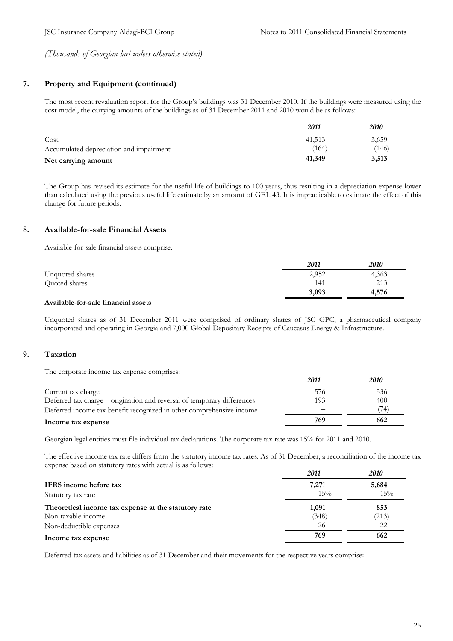# **7. Property and Equipment (continued)**

The most recent revaluation report for the Group's buildings was 31 December 2010. If the buildings were measured using the cost model, the carrying amounts of the buildings as of 31 December 2011 and 2010 would be as follows:

|                                         | 2011   | <i><b>2010</b></i> |
|-----------------------------------------|--------|--------------------|
| Cost                                    | 41.513 | 3,659              |
| Accumulated depreciation and impairment | (164   | (146)              |
| Net carrying amount                     | 41,349 | 3,513              |

The Group has revised its estimate for the useful life of buildings to 100 years, thus resulting in a depreciation expense lower than calculated using the previous useful life estimate by an amount of GEL 43. It is impracticable to estimate the effect of this change for future periods.

# **8. Available-for-sale Financial Assets**

Available-for-sale financial assets comprise:

|                 | 2011  | 2010  |
|-----------------|-------|-------|
| Unquoted shares | 2,952 | 4,363 |
| Quoted shares   | 141   | 213   |
|                 | 3,093 | 4,576 |

#### **Available-for-sale financial assets**

Unquoted shares as of 31 December 2011 were comprised of ordinary shares of JSC GPC, a pharmaceutical company incorporated and operating in Georgia and 7,000 Global Depositary Receipts of Caucasus Energy & Infrastructure.

# **9. Taxation**

The corporate income tax expense comprises:

|                                                                         | 2011 | <i>2010</i> |
|-------------------------------------------------------------------------|------|-------------|
| Current tax charge                                                      | 576  | 336         |
| Deferred tax charge – origination and reversal of temporary differences | 193  | 400         |
| Deferred income tax benefit recognized in other comprehensive income    |      | 74)         |
| Income tax expense                                                      | 769  | 662         |

Georgian legal entities must file individual tax declarations. The corporate tax rate was 15% for 2011 and 2010.

The effective income tax rate differs from the statutory income tax rates. As of 31 December, a reconciliation of the income tax expense based on statutory rates with actual is as follows:

|                                                      | 2011  | <i>2010</i> |
|------------------------------------------------------|-------|-------------|
| <b>IFRS</b> income before tax                        | 7,271 | 5,684       |
| Statutory tax rate                                   | 15%   | 15%         |
| Theoretical income tax expense at the statutory rate | 1,091 | 853         |
| Non-taxable income                                   | (348) | (213)       |
| Non-deductible expenses                              | 26    | 22          |
| Income tax expense                                   | 769   | 662         |

Deferred tax assets and liabilities as of 31 December and their movements for the respective years comprise: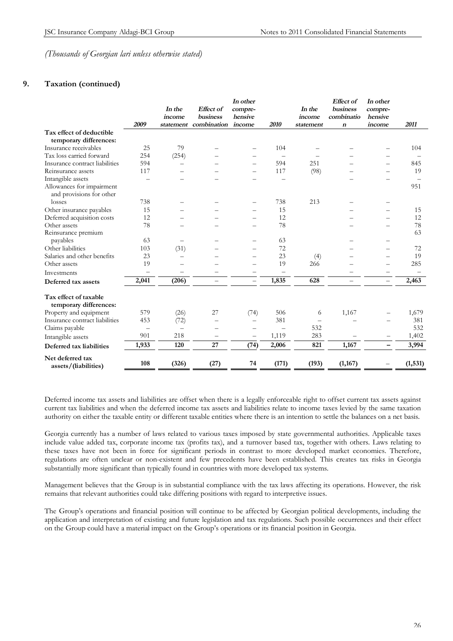# **9. Taxation (continued)**

|                                                 |                          | In the                   | <b>Effect</b> of         | In other<br>compre-      |                          | In the    | Effect of<br>business    | In other<br>compre-      |          |
|-------------------------------------------------|--------------------------|--------------------------|--------------------------|--------------------------|--------------------------|-----------|--------------------------|--------------------------|----------|
|                                                 |                          | income                   | <b>business</b>          | hensive                  |                          | income    | combinatio               | hensive                  |          |
|                                                 | 2009                     |                          | statement combination    | income                   | 2010                     | statement | $\boldsymbol{n}$         | income                   | 2011     |
| Tax effect of deductible                        |                          |                          |                          |                          |                          |           |                          |                          |          |
| temporary differences:                          |                          |                          |                          |                          |                          |           |                          |                          |          |
| Insurance receivables                           | 25                       | 79                       |                          |                          | 104                      |           |                          |                          | 104      |
| Tax loss carried forward                        | 254                      | (254)                    |                          |                          |                          |           |                          |                          |          |
| Insurance contract liabilities                  | 594                      | $\overline{\phantom{0}}$ |                          | $\overline{\phantom{0}}$ | 594                      | 251       |                          |                          | 845      |
| Reinsurance assets                              | 117                      |                          |                          |                          | 117                      | (98)      |                          | —                        | 19       |
| Intangible assets                               |                          |                          |                          |                          |                          |           |                          |                          |          |
| Allowances for impairment                       |                          |                          |                          |                          |                          |           |                          |                          | 951      |
| and provisions for other                        |                          |                          |                          |                          |                          |           |                          |                          |          |
| losses                                          | 738                      |                          |                          |                          | 738                      | 213       |                          |                          |          |
| Other insurance payables                        | 15                       |                          |                          |                          | 15                       |           |                          |                          | 15       |
| Deferred acquisition costs                      | 12                       |                          |                          |                          | 12                       |           |                          |                          | 12       |
| Other assets                                    | 78                       |                          |                          | $\overline{\phantom{0}}$ | 78                       |           |                          |                          | 78       |
| Reinsurance premium                             |                          |                          |                          |                          |                          |           |                          |                          | 63       |
| payables                                        | 63                       |                          |                          |                          | 63                       |           |                          |                          |          |
| Other liabilities                               | 103                      | (31)                     |                          | -                        | 72                       |           |                          |                          | 72       |
| Salaries and other benefits                     | 23                       | -                        |                          | $\overline{\phantom{0}}$ | 23                       | (4)       |                          | —                        | 19       |
| Other assets                                    | 19                       |                          |                          | $\overline{\phantom{0}}$ | 19                       | 266       |                          | —                        | 285      |
| Investments                                     | —                        |                          |                          |                          |                          |           |                          |                          |          |
| Deferred tax assets                             | 2,041                    | (206)                    | $\overline{\phantom{0}}$ | $\overline{\phantom{0}}$ | 1,835                    | 628       | $\overline{\phantom{0}}$ | $\overline{\phantom{0}}$ | 2,463    |
| Tax effect of taxable<br>temporary differences: |                          |                          |                          |                          |                          |           |                          |                          |          |
| Property and equipment                          | 579                      | (26)                     | 27                       | (74)                     | 506                      | 6         | 1,167                    |                          | 1,679    |
| Insurance contract liabilities                  | 453                      | (72)                     | $\overline{\phantom{0}}$ | $\overline{\phantom{0}}$ | 381                      |           |                          |                          | 381      |
| Claims payable                                  | $\overline{\phantom{m}}$ | $\overline{\phantom{0}}$ |                          | $\overline{\phantom{0}}$ | $\overline{\phantom{0}}$ | 532       |                          |                          | 532      |
| Intangible assets                               | 901                      | 218                      |                          | $\overline{\phantom{0}}$ | 1,119                    | 283       |                          |                          | 1,402    |
| Deferred tax liabilities                        | 1,933                    | 120                      | 27                       | (74)                     | 2,006                    | 821       | 1,167                    | $\overline{\phantom{0}}$ | 3,994    |
| Net deferred tax<br>assets/(liabilities)        | 108                      | (326)                    | (27)                     | 74                       | (171)                    | (193)     | (1,167)                  |                          | (1, 531) |

Deferred income tax assets and liabilities are offset when there is a legally enforceable right to offset current tax assets against current tax liabilities and when the deferred income tax assets and liabilities relate to income taxes levied by the same taxation authority on either the taxable entity or different taxable entities where there is an intention to settle the balances on a net basis.

Georgia currently has a number of laws related to various taxes imposed by state governmental authorities. Applicable taxes include value added tax, corporate income tax (profits tax), and a turnover based tax, together with others. Laws relating to these taxes have not been in force for significant periods in contrast to more developed market economies. Therefore, regulations are often unclear or non-existent and few precedents have been established. This creates tax risks in Georgia substantially more significant than typically found in countries with more developed tax systems.

Management believes that the Group is in substantial compliance with the tax laws affecting its operations. However, the risk remains that relevant authorities could take differing positions with regard to interpretive issues.

The Group's operations and financial position will continue to be affected by Georgian political developments, including the application and interpretation of existing and future legislation and tax regulations. Such possible occurrences and their effect on the Group could have a material impact on the Group's operations or its financial position in Georgia.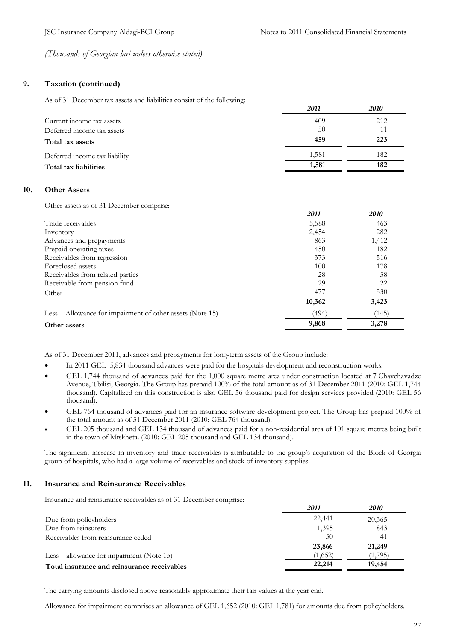# **9. Taxation (continued)**

As of 31 December tax assets and liabilities consist of the following:

|                               | 2011  | <i>2010</i> |
|-------------------------------|-------|-------------|
| Current income tax assets     | 409   | 212         |
| Deferred income tax assets    | 50    | 11          |
| Total tax assets              | 459   | 223         |
| Deferred income tax liability | 1,581 | 182         |
| Total tax liabilities         | 1,581 | 182         |

## **10. Other Assets**

Other assets as of 31 December comprise:

|                                                           | 2011   | 2010  |
|-----------------------------------------------------------|--------|-------|
| Trade receivables                                         | 5,588  | 463   |
| Inventory                                                 | 2,454  | 282   |
| Advances and prepayments                                  | 863    | 1,412 |
| Prepaid operating taxes                                   | 450    | 182   |
| Receivables from regression                               | 373    | 516   |
| Foreclosed assets                                         | 100    | 178   |
| Receivables from related parties                          | 28     | 38    |
| Receivable from pension fund                              | 29     | 22    |
| Other                                                     | 477    | 330   |
|                                                           | 10,362 | 3,423 |
| Less – Allowance for impairment of other assets (Note 15) | (494)  | (145) |
| Other assets                                              | 9,868  | 3,278 |

As of 31 December 2011, advances and prepayments for long-term assets of the Group include:

- In 2011 GEL 5,834 thousand advances were paid for the hospitals development and reconstruction works.
- GEL 1,744 thousand of advances paid for the 1,000 square metre area under construction located at 7 Chavchavadze Avenue, Tbilisi, Georgia. The Group has prepaid 100% of the total amount as of 31 December 2011 (2010: GEL 1,744 thousand). Capitalized on this construction is also GEL 56 thousand paid for design services provided (2010: GEL 56 thousand).
- GEL 764 thousand of advances paid for an insurance software development project. The Group has prepaid 100% of the total amount as of 31 December 2011 (2010: GEL 764 thousand).
- GEL 205 thousand and GEL 134 thousand of advances paid for a non-residential area of 101 square metres being built in the town of Mtskheta. (2010: GEL 205 thousand and GEL 134 thousand).

The significant increase in inventory and trade receivables is attributable to the group's acquisition of the Block of Georgia group of hospitals, who had a large volume of receivables and stock of inventory supplies.

## **11. Insurance and Reinsurance Receivables**

Insurance and reinsurance receivables as of 31 December comprise:

| 2011    | 2010    |
|---------|---------|
| 22,441  | 20,365  |
| 1,395   | 843     |
| 30      | 41      |
| 23,866  | 21,249  |
| (1,652) | (1,795) |
| 22,214  | 19,454  |
|         |         |

The carrying amounts disclosed above reasonably approximate their fair values at the year end.

Allowance for impairment comprises an allowance of GEL 1,652 (2010: GEL 1,781) for amounts due from policyholders.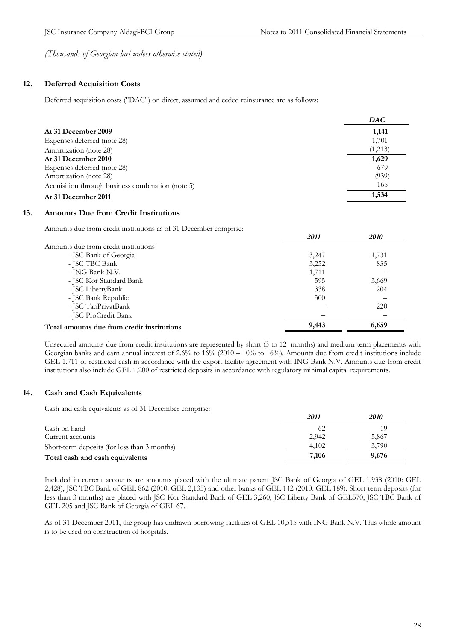# **12. Deferred Acquisition Costs**

Deferred acquisition costs ("DAC") on direct, assumed and ceded reinsurance are as follows:

|                                                   | DAC     |
|---------------------------------------------------|---------|
| At 31 December 2009                               | 1,141   |
| Expenses deferred (note 28)                       | 1,701   |
| Amortization (note 28)                            | (1,213) |
| At 31 December 2010                               | 1,629   |
| Expenses deferred (note 28)                       | 679     |
| Amortization (note 28)                            | (939)   |
| Acquisition through business combination (note 5) | 165     |
| At 31 December 2011                               | 1,534   |

# **13. Amounts Due from Credit Institutions**

Amounts due from credit institutions as of 31 December comprise:

|                                            | 2011  | 2010  |
|--------------------------------------------|-------|-------|
| Amounts due from credit institutions       |       |       |
| - JSC Bank of Georgia                      | 3,247 | 1,731 |
| - JSC TBC Bank                             | 3,252 | 835   |
| - ING Bank N.V.                            | 1,711 |       |
| - JSC Kor Standard Bank                    | 595   | 3,669 |
| - JSC LibertyBank                          | 338   | 204   |
| - JSC Bank Republic                        | 300   |       |
| - JSC TaoPrivatBank                        |       | 220   |
| - JSC ProCredit Bank                       |       |       |
| Total amounts due from credit institutions | 9,443 | 6,659 |
|                                            |       |       |

Unsecured amounts due from credit institutions are represented by short (3 to 12 months) and medium-term placements with Georgian banks and earn annual interest of 2.6% to 16% (2010 – 10% to 16%). Amounts due from credit institutions include GEL 1,711 of restricted cash in accordance with the export facility agreement with ING Bank N.V. Amounts due from credit institutions also include GEL 1,200 of restricted deposits in accordance with regulatory minimal capital requirements.

## **14. Cash and Cash Equivalents**

Cash and cash equivalents as of 31 December comprise:

|                                              | 2011  | <i>2010</i> |
|----------------------------------------------|-------|-------------|
| Cash on hand                                 | 62    | 19          |
| Current accounts                             | 2,942 | 5,867       |
| Short-term deposits (for less than 3 months) | 4.102 | 3.790       |
| Total cash and cash equivalents              | 7,106 | 9,676       |

Included in current accounts are amounts placed with the ultimate parent JSC Bank of Georgia of GEL 1,938 (2010: GEL 2,428), JSC TBC Bank of GEL 862 (2010: GEL 2,135) and other banks of GEL 142 (2010: GEL 189). Short-term deposits (for less than 3 months) are placed with JSC Kor Standard Bank of GEL 3,260, JSC Liberty Bank of GEL570, JSC TBC Bank of GEL 205 and JSC Bank of Georgia of GEL 67.

As of 31 December 2011, the group has undrawn borrowing facilities of GEL 10,515 with ING Bank N.V. This whole amount is to be used on construction of hospitals.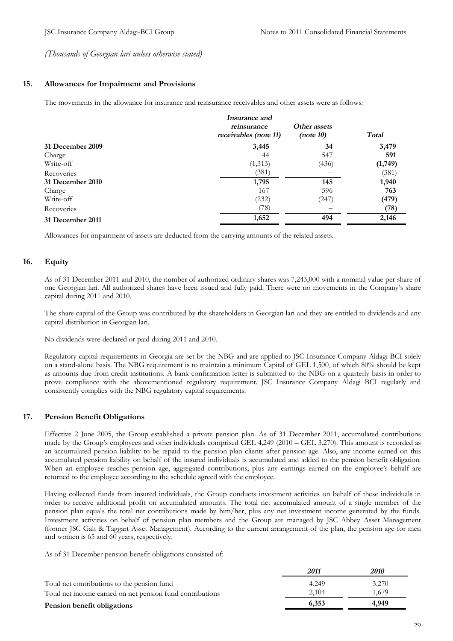# **15. Allowances for Impairment and Provisions**

The movements in the allowance for insurance and reinsurance receivables and other assets were as follows:

|                  | <i>Insurance and</i><br>reinsurance<br>receivables (note 11) | Other assets<br>(note 10) | Total   |
|------------------|--------------------------------------------------------------|---------------------------|---------|
| 31 December 2009 | 3,445                                                        | 34                        | 3,479   |
| Charge           | 44                                                           | 547                       | 591     |
| Write-off        | (1,313)                                                      | (436)                     | (1,749) |
| Recoveries       | (381)                                                        |                           | (381)   |
| 31 December 2010 | 1,795                                                        | 145                       | 1,940   |
| Charge           | 167                                                          | 596                       | 763     |
| Write-off        | (232)                                                        | (247)                     | (479)   |
| Recoveries       | (78)                                                         |                           | (78)    |
| 31 December 2011 | 1,652                                                        | 494                       | 2,146   |
|                  |                                                              |                           |         |

Allowances for impairment of assets are deducted from the carrying amounts of the related assets.

# **16. Equity**

As of 31 December 2011 and 2010, the number of authorized ordinary shares was 7,243,000 with a nominal value per share of one Georgian lari. All authorized shares have been issued and fully paid. There were no movements in the Company's share capital during 2011 and 2010.

The share capital of the Group was contributed by the shareholders in Georgian lari and they are entitled to dividends and any capital distribution in Georgian lari.

No dividends were declared or paid during 2011 and 2010.

Regulatory capital requirements in Georgia are set by the NBG and are applied to JSC Insurance Company Aldagi BCI solely on a stand-alone basis. The NBG requirement is to maintain a minimum Capital of GEL 1,500, of which 80% should be kept as amounts due from credit institutions. A bank confirmation letter is submitted to the NBG on a quarterly basis in order to prove compliance with the abovementioned regulatory requirement. JSC Insurance Company Aldagi BCI regularly and consistently complies with the NBG regulatory capital requirements.

## **17. Pension Benefit Obligations**

Effective 2 June 2005, the Group established a private pension plan. As of 31 December 2011, accumulated contributions made by the Group's employees and other individuals comprised GEL 4,249 (2010 – GEL 3,270). This amount is recorded as an accumulated pension liability to be repaid to the pension plan clients after pension age. Also, any income earned on this accumulated pension liability on behalf of the insured individuals is accumulated and added to the pension benefit obligation. When an employee reaches pension age, aggregated contributions, plus any earnings earned on the employee's behalf are returned to the employee according to the schedule agreed with the employee.

Having collected funds from insured individuals, the Group conducts investment activities on behalf of these individuals in order to receive additional profit on accumulated amounts. The total net accumulated amount of a single member of the pension plan equals the total net contributions made by him/her, plus any net investment income generated by the funds. Investment activities on behalf of pension plan members and the Group are managed by JSC Abbey Asset Management (former JSC Galt & Taggart Asset Management). According to the current arrangement of the plan, the pension age for men and women is 65 and 60 years, respectively.

As of 31 December pension benefit obligations consisted of:

|                                                           | 2011  | 2010  |
|-----------------------------------------------------------|-------|-------|
| Total net contributions to the pension fund               | 4.249 | 3,270 |
| Total net income earned on net pension fund contributions | 2.104 | 1.679 |
| Pension benefit obligations                               | 6,353 | 4.949 |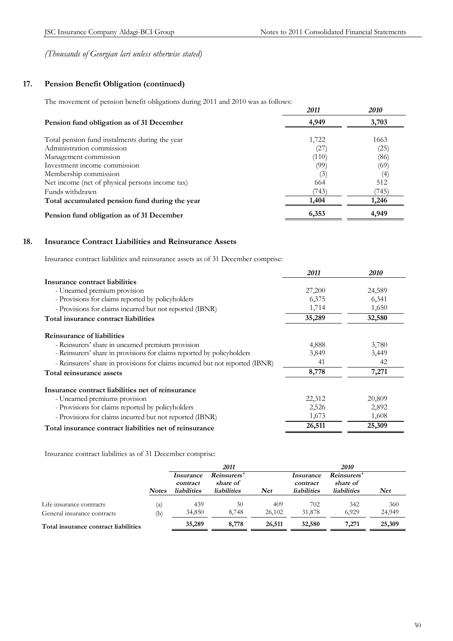# **17. Pension Benefit Obligation (continued)**

The movement of pension benefit obligations during 2011 and 2010 was as follows:

|                                                 | 2011  | <i>2010</i> |
|-------------------------------------------------|-------|-------------|
| Pension fund obligation as of 31 December       | 4,949 | 3,703       |
| Total pension fund instalments during the year  | 1,722 | 1663        |
| Administration commission                       | (27)  | (25)        |
| Management commission                           | (110) | (86)        |
| Investment income commission                    | (99)  | (69)        |
| Membership commission                           | (3)   | (4)         |
| Net income (net of physical persons income tax) | 664   | 512         |
| Funds withdrawn                                 | (743) | 745)        |
| Total accumulated pension fund during the year  | 1,404 | 1,246       |
| Pension fund obligation as of 31 December       | 6,353 | 4,949       |

# **18. Insurance Contract Liabilities and Reinsurance Assets**

Insurance contract liabilities and reinsurance assets as of 31 December comprise:

|                                                                               | 2011   | <i>2010</i> |
|-------------------------------------------------------------------------------|--------|-------------|
| Insurance contract liabilities                                                |        |             |
| - Unearned premium provision                                                  | 27,200 | 24,589      |
| - Provisions for claims reported by policyholders                             | 6,375  | 6,341       |
| - Provisions for claims incurred but not reported (IBNR)                      | 1,714  | 1,650       |
| Total insurance contract liabilities                                          | 35,289 | 32,580      |
| <b>Reinsurance of liabilities</b>                                             |        |             |
| - Reinsurers' share in unearned premium provision                             | 4,888  | 3,780       |
| - Reinsurers' share in provisions for claims reported by policyholders        | 3,849  | 3,449       |
| - Reinsurers' share in provisions for claims incurred but not reported (IBNR) | 41     | 42          |
| Total reinsurance assets                                                      | 8,778  | 7,271       |
| Insurance contract liabilities net of reinsurance                             |        |             |
| - Unearned premiums provision                                                 | 22,312 | 20,809      |
| - Provisions for claims reported by policyholders                             | 2,526  | 2,892       |
| - Provisions for claims incurred but not reported (IBNR)                      | 1,673  | 1,608       |
| Total insurance contract liabilities net of reinsurance                       | 26,511 | 25,309      |

Insurance contract liabilities as of 31 December comprise:

|                                      |              | 2011                                               |                                               |            | 2010                                        |                                               |            |
|--------------------------------------|--------------|----------------------------------------------------|-----------------------------------------------|------------|---------------------------------------------|-----------------------------------------------|------------|
|                                      | <b>Notes</b> | <i>Insurance</i><br>contract<br><i>liabilities</i> | Reinsurers'<br>share of<br><b>liabilities</b> | <b>Net</b> | Insurance<br>contract<br><b>liabilities</b> | Reinsurers'<br>share of<br><b>liabilities</b> | <b>Net</b> |
| Life insurance contracts             | (a)          | 439                                                | 30                                            | 409        | 702                                         | 342                                           | 360        |
| General insurance contracts          | (b)          | 34,850                                             | 8.748                                         | 26.102     | 31,878                                      | 6.929                                         | 24,949     |
| Total insurance contract liabilities |              | 35,289                                             | 8,778                                         | 26,511     | 32,580                                      | 7.271                                         | 25,309     |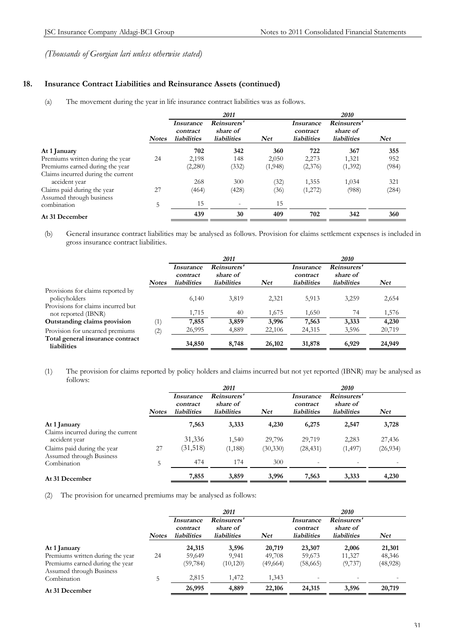# **18. Insurance Contract Liabilities and Reinsurance Assets (continued)**

(a) The movement during the year in life insurance contract liabilities was as follows.

|                                    |              |                                             | 2011                                          |         |                                             | 2010                                          |            |
|------------------------------------|--------------|---------------------------------------------|-----------------------------------------------|---------|---------------------------------------------|-----------------------------------------------|------------|
|                                    | <b>Notes</b> | Insurance<br>contract<br><b>liabilities</b> | Reinsurers'<br>share of<br><b>liabilities</b> | Net     | Insurance<br>contract<br><b>liabilities</b> | Reinsurers'<br>share of<br><b>liabilities</b> | <b>Net</b> |
| At 1 January                       |              | 702                                         | 342                                           | 360     | 722                                         | 367                                           | 355        |
| Premiums written during the year   | 24           | 2,198                                       | 148                                           | 2,050   | 2,273                                       | 1,321                                         | 952        |
| Premiums earned during the year    |              | (2,280)                                     | (332)                                         | (1,948) | (2,376)                                     | (1,392)                                       | (984)      |
| Claims incurred during the current |              |                                             |                                               |         |                                             |                                               |            |
| accident year                      |              | 268                                         | 300                                           | (32)    | 1,355                                       | 1,034                                         | 321        |
| Claims paid during the year        | 27           | (464)                                       | (428)                                         | (36)    | (1,272)                                     | (988)                                         | (284)      |
| Assumed through business           |              |                                             |                                               |         |                                             |                                               |            |
| combination                        | 5            | 15                                          | $\overline{\phantom{a}}$                      | 15      |                                             |                                               |            |
| At 31 December                     |              | 439                                         | 30                                            | 409     | 702                                         | 342                                           | 360        |

(b) General insurance contract liabilities may be analysed as follows. Provision for claims settlement expenses is included in gross insurance contract liabilities.

|                                                           |              | 2011                         |                         |            | 2010                  |                         |            |  |
|-----------------------------------------------------------|--------------|------------------------------|-------------------------|------------|-----------------------|-------------------------|------------|--|
|                                                           |              | <i>Insurance</i><br>contract | Reinsurers'<br>share of |            | Insurance<br>contract | Reinsurers'<br>share of |            |  |
|                                                           | <b>Notes</b> | <i>liabilities</i>           | <i>liabilities</i>      | <b>Net</b> | <b>liabilities</b>    | <i>liabilities</i>      | <b>Net</b> |  |
| Provisions for claims reported by<br>policyholders        |              | 6,140                        | 3,819                   | 2,321      | 5,913                 | 3,259                   | 2,654      |  |
| Provisions for claims incurred but<br>not reported (IBNR) |              | 1,715                        | 40                      | 1,675      | 1,650                 | 74                      | 1,576      |  |
| Outstanding claims provision                              | (1)          | 7,855                        | 3,859                   | 3,996      | 7,563                 | 3,333                   | 4,230      |  |
| Provision for unearned premiums                           | (2)          | 26,995                       | 4,889                   | 22,106     | 24,315                | 3,596                   | 20,719     |  |
| Total general insurance contract<br>liabilities           |              | 34,850                       | 8,748                   | 26,102     | 31,878                | 6,929                   | 24,949     |  |

(1) The provision for claims reported by policy holders and claims incurred but not yet reported (IBNR) may be analysed as follows:

|                                                         |              |                                                    | 2011                                          |            |                                             | <i>2010</i>                                   |            |
|---------------------------------------------------------|--------------|----------------------------------------------------|-----------------------------------------------|------------|---------------------------------------------|-----------------------------------------------|------------|
|                                                         | <b>Notes</b> | <i>Insurance</i><br>contract<br><b>liabilities</b> | Reinsurers'<br>share of<br><b>liabilities</b> | <b>Net</b> | Insurance<br>contract<br><b>liabilities</b> | Reinsurers'<br>share of<br><i>liabilities</i> | <b>Net</b> |
| At 1 January                                            |              | 7,563                                              | 3,333                                         | 4,230      | 6,275                                       | 2,547                                         | 3,728      |
| Claims incurred during the current<br>accident year     |              | 31,336                                             | 1,540                                         | 29,796     | 29,719                                      | 2,283                                         | 27,436     |
| Claims paid during the year<br>Assumed through Business | 27           | (31,518)                                           | (1, 188)                                      | (30, 330)  | (28, 431)                                   | (1, 497)                                      | (26, 934)  |
| Combination                                             | 5            | 474                                                | 174                                           | 300        | $\overline{\phantom{a}}$                    |                                               |            |
| At 31 December                                          |              | 7,855                                              | 3,859                                         | 3,996      | 7,563                                       | 3,333                                         | 4,230      |

(2) The provision for unearned premiums may be analysed as follows:

|                                  |              |                                                    | 2011                                          |            |                                             | 2010                                          |            |
|----------------------------------|--------------|----------------------------------------------------|-----------------------------------------------|------------|---------------------------------------------|-----------------------------------------------|------------|
|                                  | <b>Notes</b> | <i>Insurance</i><br>contract<br><i>liabilities</i> | Reinsurers'<br>share of<br><i>liabilities</i> | <b>Net</b> | Insurance<br>contract<br><b>liabilities</b> | Reinsurers'<br>share of<br><b>liabilities</b> | <b>Net</b> |
| At 1 January                     |              | 24,315                                             | 3,596                                         | 20,719     | 23,307                                      | 2,006                                         | 21,301     |
| Premiums written during the year | 24           | 59,649                                             | 9.941                                         | 49,708     | 59,673                                      | 11,327                                        | 48,346     |
| Premiums earned during the year  |              | (59, 784)                                          | (10, 120)                                     | (49, 664)  | (58,665)                                    | (9,737)                                       | (48,928)   |
| Assumed through Business         |              |                                                    |                                               |            |                                             |                                               |            |
| Combination                      |              | 2,815                                              | 1,472                                         | 1,343      | $\overline{\phantom{a}}$                    |                                               |            |
| At 31 December                   |              | 26,995                                             | 4,889                                         | 22,106     | 24,315                                      | 3,596                                         | 20,719     |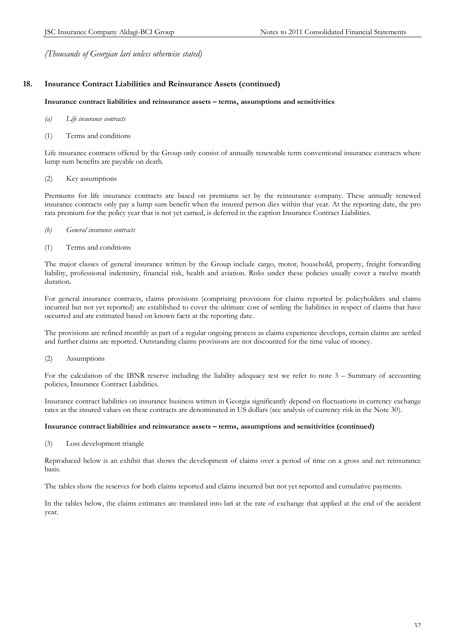# **18. Insurance Contract Liabilities and Reinsurance Assets (continued)**

#### **Insurance contract liabilities and reinsurance assets – terms, assumptions and sensitivities**

- *(a) Life insurance contracts*
- (1) Terms and conditions

Life insurance contracts offered by the Group only consist of annually renewable term conventional insurance contracts where lump sum benefits are payable on death.

#### (2) Key assumptions

Premiums for life insurance contracts are based on premiums set by the reinsurance company. These annually renewed insurance contracts only pay a lump sum benefit when the insured person dies within that year. At the reporting date, the pro rata premium for the policy year that is not yet earned, is deferred in the caption Insurance Contract Liabilities.

- *(b) General insurance contracts*
- (1) Terms and conditions

The major classes of general insurance written by the Group include cargo, motor, household, property, freight forwarding liability, professional indemnity, financial risk, health and aviation. Risks under these policies usually cover a twelve month duration.

For general insurance contracts, claims provisions (comprising provisions for claims reported by policyholders and claims incurred but not yet reported) are established to cover the ultimate cost of settling the liabilities in respect of claims that have occurred and are estimated based on known facts at the reporting date.

The provisions are refined monthly as part of a regular ongoing process as claims experience develops, certain claims are settled and further claims are reported. Outstanding claims provisions are not discounted for the time value of money.

(2) Assumptions

For the calculation of the IBNR reserve including the liability adequacy test we refer to note 3 – Summary of accounting policies, Insurance Contract Liabilities.

Insurance contract liabilities on insurance business written in Georgia significantly depend on fluctuations in currency exchange rates as the insured values on these contracts are denominated in US dollars (see analysis of currency risk in the Note 30).

#### **Insurance contract liabilities and reinsurance assets – terms, assumptions and sensitivities (continued)**

(3) Loss development triangle

Reproduced below is an exhibit that shows the development of claims over a period of time on a gross and net reinsurance basis.

The tables show the reserves for both claims reported and claims incurred but not yet reported and cumulative payments.

In the tables below, the claims estimates are translated into lari at the rate of exchange that applied at the end of the accident year.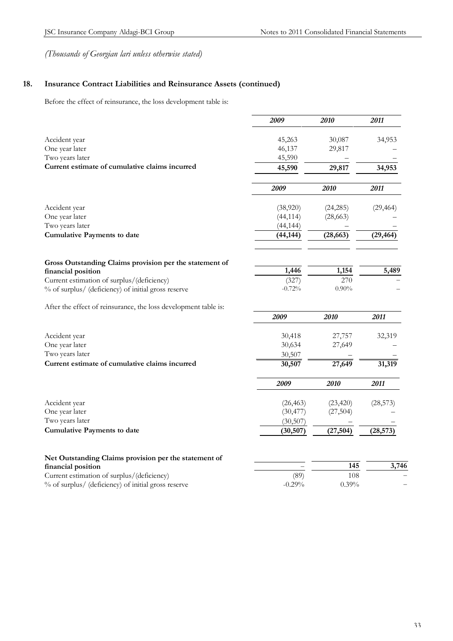# **18. Insurance Contract Liabilities and Reinsurance Assets (continued)**

Before the effect of reinsurance, the loss development table is:

|                                                                 | 2009      | 2010      | 2011      |
|-----------------------------------------------------------------|-----------|-----------|-----------|
| Accident year                                                   | 45,263    | 30,087    | 34,953    |
| One year later                                                  | 46,137    | 29,817    |           |
| Two years later                                                 | 45,590    |           |           |
| Current estimate of cumulative claims incurred                  | 45,590    | 29,817    | 34,953    |
|                                                                 | 2009      | 2010      | 2011      |
| Accident year                                                   | (38,920)  | (24, 285) | (29, 464) |
| One year later                                                  | (44, 114) | (28,663)  |           |
| Two years later                                                 | (44, 144) |           |           |
| <b>Cumulative Payments to date</b>                              | (44, 144) | (28, 663) | (29, 464) |
| Gross Outstanding Claims provision per the statement of         |           |           |           |
| financial position                                              | 1,446     | 1,154     | 5,489     |
| Current estimation of surplus/(deficiency)                      | (327)     | 270       |           |
| % of surplus/ (deficiency) of initial gross reserve             | $-0.72%$  | $0.90\%$  |           |
| After the effect of reinsurance, the loss development table is: |           |           |           |
|                                                                 | 2009      | 2010      | 2011      |
| Accident year                                                   | 30,418    | 27,757    | 32,319    |
| One year later                                                  | 30,634    | 27,649    |           |
| Two years later                                                 | 30,507    |           |           |
| Current estimate of cumulative claims incurred                  | 30,507    | 27,649    | 31,319    |
|                                                                 | 2009      | 2010      | 2011      |
| Accident year                                                   | (26, 463) | (23, 420) | (28, 573) |
| One year later                                                  | (30, 477) | (27,504)  |           |
| Two years later                                                 | (30,507)  |           |           |
| <b>Cumulative Payments to date</b>                              | (30,507)  | (27, 504) | (28, 573) |
| Net Outstanding Claims provision per the statement of           |           |           |           |
| financial position                                              |           | 145       | 3,746     |
| Current estimation of surplus/(deficiency)                      | (89)      | 108       |           |
| % of surplus/ (deficiency) of initial gross reserve             | $-0.29%$  | 0.39%     |           |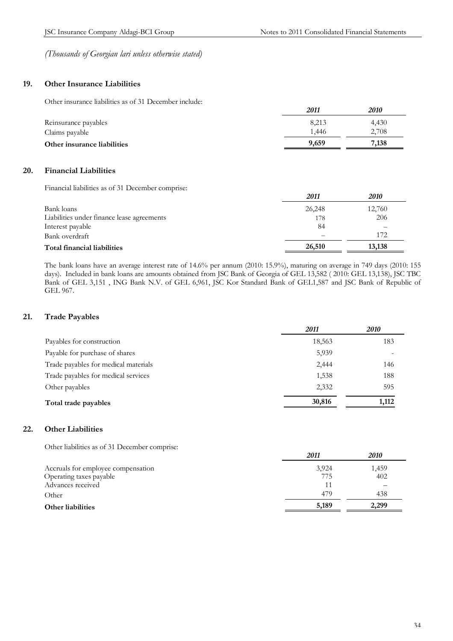*2011 2010*

*(Thousands of Georgian lari unless otherwise stated)* 

# **19. Other Insurance Liabilities**

Other insurance liabilities as of 31 December include:

|                             | 2011  | <i>2010</i> |
|-----------------------------|-------|-------------|
| Reinsurance payables        | 8.213 | 4.430       |
| Claims payable              | 1.446 | 2,708       |
| Other insurance liabilities | 9,659 | 7,138       |

# **20. Financial Liabilities**

Financial liabilities as of 31 December comprise:

|                                            | 2011   | <i>2010</i> |
|--------------------------------------------|--------|-------------|
| Bank loans                                 | 26,248 | 12,760      |
| Liabilities under finance lease agreements | 178    | 206         |
| Interest payable                           | 84     |             |
| Bank overdraft                             | -      | 172         |
| Total financial liabilities                | 26,510 | 13,138      |

The bank loans have an average interest rate of 14.6% per annum (2010: 15.9%), maturing on average in 749 days (2010: 155 days). Included in bank loans are amounts obtained from JSC Bank of Georgia of GEL 13,582 ( 2010: GEL 13,138), JSC TBC Bank of GEL 3,151 , ING Bank N.V. of GEL 6,961, JSC Kor Standard Bank of GEL1,587 and JSC Bank of Republic of GEL 967.

# **21. Trade Payables**

|                                      | 2011   | 2010  |
|--------------------------------------|--------|-------|
| Payables for construction            | 18,563 | 183   |
| Payable for purchase of shares       | 5,939  |       |
| Trade payables for medical materials | 2,444  | 146   |
| Trade payables for medical services  | 1,538  | 188   |
| Other payables                       | 2,332  | 595   |
| Total trade payables                 | 30,816 | 1,112 |

# **22. Other Liabilities**

Other liabilities as of 31 December comprise:

|                                    | - - - - | 2010  |
|------------------------------------|---------|-------|
| Accruals for employee compensation | 3.924   | 1,459 |
| Operating taxes payable            | 775     | 402   |
| Advances received                  |         |       |
| Other                              | 479     | 438   |
| <b>Other liabilities</b>           | 5,189   | 2.299 |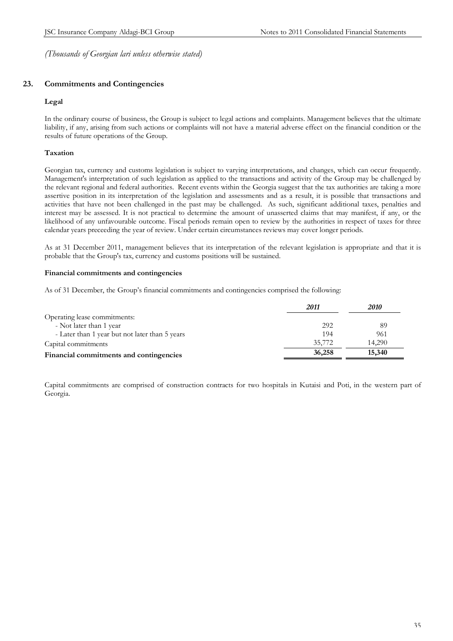# **23. Commitments and Contingencies**

#### **Legal**

In the ordinary course of business, the Group is subject to legal actions and complaints. Management believes that the ultimate liability, if any, arising from such actions or complaints will not have a material adverse effect on the financial condition or the results of future operations of the Group.

## **Taxation**

Georgian tax, currency and customs legislation is subject to varying interpretations, and changes, which can occur frequently. Management's interpretation of such legislation as applied to the transactions and activity of the Group may be challenged by the relevant regional and federal authorities. Recent events within the Georgia suggest that the tax authorities are taking a more assertive position in its interpretation of the legislation and assessments and as a result, it is possible that transactions and activities that have not been challenged in the past may be challenged. As such, significant additional taxes, penalties and interest may be assessed. It is not practical to determine the amount of unasserted claims that may manifest, if any, or the likelihood of any unfavourable outcome. Fiscal periods remain open to review by the authorities in respect of taxes for three calendar years preceeding the year of review. Under certain circumstances reviews may cover longer periods.

As at 31 December 2011, management believes that its interpretation of the relevant legislation is appropriate and that it is probable that the Group's tax, currency and customs positions will be sustained.

#### **Financial commitments and contingencies**

As of 31 December, the Group's financial commitments and contingencies comprised the following:

|                                                | 2011   | 2010   |
|------------------------------------------------|--------|--------|
| Operating lease commitments:                   |        |        |
| - Not later than 1 year                        | 292    | 89     |
| - Later than 1 year but not later than 5 years | 194    | 961    |
| Capital commitments                            | 35,772 | 14.290 |
| Financial commitments and contingencies        | 36,258 | 15,340 |

Capital commitments are comprised of construction contracts for two hospitals in Kutaisi and Poti, in the western part of Georgia.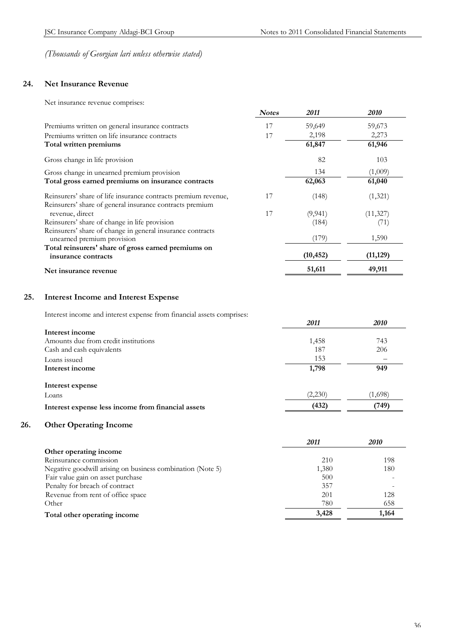# **24. Net Insurance Revenue**

Net insurance revenue comprises:

| <b>Notes</b>                                                         | 2011      | <i>2010</i> |
|----------------------------------------------------------------------|-----------|-------------|
| 17<br>Premiums written on general insurance contracts                | 59,649    | 59,673      |
| 17<br>Premiums written on life insurance contracts                   | 2,198     | 2,273       |
| Total written premiums                                               | 61,847    | 61,946      |
| Gross change in life provision                                       | 82        | 103         |
| Gross change in unearned premium provision                           | 134       | (1,009)     |
| Total gross earned premiums on insurance contracts                   | 62,063    | 61,040      |
| 17<br>Reinsurers' share of life insurance contracts premium revenue, | (148)     | (1,321)     |
| Reinsurers' share of general insurance contracts premium             |           |             |
| 17<br>revenue, direct                                                | (9, 941)  | (11, 327)   |
| Reinsurers' share of change in life provision                        | (184)     | (71)        |
| Reinsurers' share of change in general insurance contracts           |           |             |
| unearned premium provision                                           | (179)     | 1,590       |
| Total reinsurers' share of gross earned premiums on                  |           |             |
| insurance contracts                                                  | (10, 452) | (11, 129)   |
| Net insurance revenue                                                | 51,611    | 49,911      |

# **25. Interest Income and Interest Expense**

Interest income and interest expense from financial assets comprises:

| merce mone and merce expense nom manious assets comprises. | 2011    | 2010    |
|------------------------------------------------------------|---------|---------|
| Interest income                                            |         |         |
| Amounts due from credit institutions                       | 1,458   | 743     |
| Cash and cash equivalents                                  | 187     | 206     |
| Loans issued                                               | 153     |         |
| Interest income                                            | 1,798   | 949     |
| Interest expense                                           |         |         |
| Loans                                                      | (2,230) | (1,698) |
| Interest expense less income from financial assets         | (432)   | (749)   |

# **26. Other Operating Income**

|                                                            | 2011  | 2010  |
|------------------------------------------------------------|-------|-------|
| Other operating income                                     |       |       |
| Reinsurance commission                                     | 210   | 198   |
| Negative goodwill arising on business combination (Note 5) | 1,380 | 180   |
| Fair value gain on asset purchase                          | 500   |       |
| Penalty for breach of contract                             | 357   |       |
| Revenue from rent of office space                          | 201   | 128   |
| Other                                                      | 780   | 658   |
| Total other operating income                               | 3,428 | 1,164 |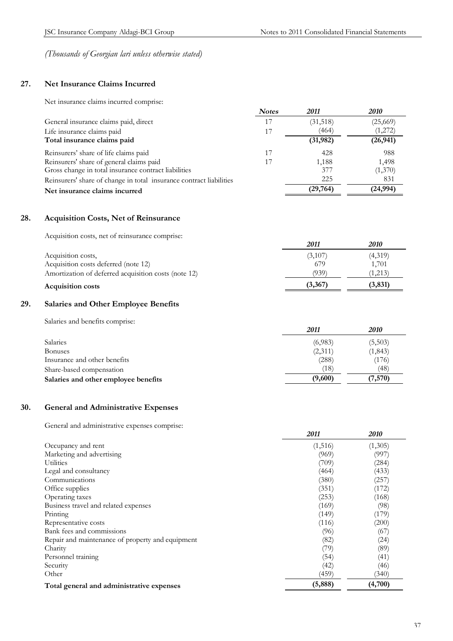# **27. Net Insurance Claims Incurred**

Net insurance claims incurred comprise:

|                                                                     | <b>Notes</b> | 2011     | 2010      |
|---------------------------------------------------------------------|--------------|----------|-----------|
| General insurance claims paid, direct                               |              | (31,518) | (25,669)  |
| Life insurance claims paid                                          |              | (464)    | (1,272)   |
| Total insurance claims paid                                         |              | (31,982) | (26, 941) |
| Reinsurers' share of life claims paid                               |              | 428      | 988       |
| Reinsurers' share of general claims paid                            |              | 1,188    | 1,498     |
| Gross change in total insurance contract liabilities                |              | 377      | (1,370)   |
| Reinsurers' share of change in total insurance contract liabilities |              | 225      | 831       |
| Net insurance claims incurred                                       |              | (29,764) | (24, 994) |

# **28. Acquisition Costs, Net of Reinsurance**

Acquisition costs, net of reinsurance comprise:

|                                                      | 2011    | 2010    |
|------------------------------------------------------|---------|---------|
| Acquisition costs,                                   | (3,107) | (4,319) |
| Acquisition costs deferred (note 12)                 | 679     | 1.701   |
| Amortization of deferred acquisition costs (note 12) | (939)   | 1,213)  |
| <b>Acquisition costs</b>                             | (3,367) | (3,831) |

# **29. Salaries and Other Employee Benefits**

Salaries and benefits comprise:

|                                      | 2011    | <i>2010</i> |
|--------------------------------------|---------|-------------|
| <b>Salaries</b>                      | (6,983) | (5,503)     |
| <b>Bonuses</b>                       | (2,311) | (1, 843)    |
| Insurance and other benefits         | (288)   | (176)       |
| Share-based compensation             | (18)    | (48)        |
| Salaries and other employee benefits | (9,600) | (7,570)     |

# **30. General and Administrative Expenses**

General and administrative expenses comprise:

|                                                  | 2011    | <i><b>2010</b></i> |
|--------------------------------------------------|---------|--------------------|
| Occupancy and rent                               | (1,516) | (1,305)            |
| Marketing and advertising                        | (969)   | (997)              |
| Utilities                                        | (709)   | (284)              |
| Legal and consultancy                            | (464)   | (433)              |
| Communications                                   | (380)   | (257)              |
| Office supplies                                  | (351)   | (172)              |
| Operating taxes                                  | (253)   | (168)              |
| Business travel and related expenses             | (169)   | (98)               |
| Printing                                         | (149)   | (179)              |
| Representative costs                             | (116)   | (200)              |
| Bank fees and commissions                        | (96)    | (67)               |
| Repair and maintenance of property and equipment | (82)    | (24)               |
| Charity                                          | (79)    | (89)               |
| Personnel training                               | (54)    | (41)               |
| Security                                         | (42)    | (46)               |
| Other                                            | (459)   | (340)              |
| Total general and administrative expenses        | (5,888) | (4,700)            |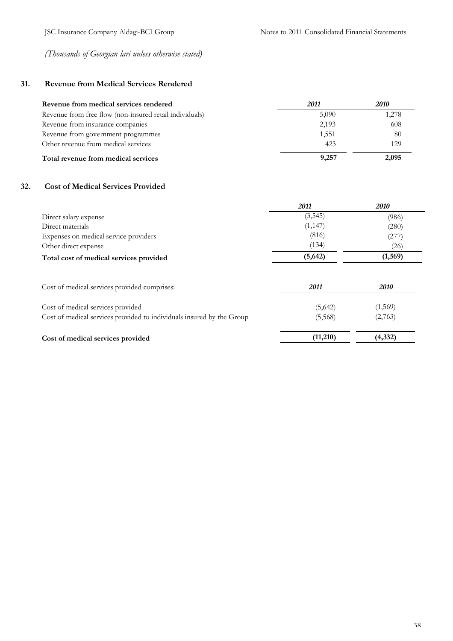# **31. Revenue from Medical Services Rendered**

| Revenue from medical services rendered                  | 2011  | 2010  |
|---------------------------------------------------------|-------|-------|
| Revenue from free flow (non-insured retail individuals) | 5,090 | 1,278 |
| Revenue from insurance companies                        | 2,193 | 608   |
| Revenue from government programmes                      | 1,551 | 80    |
| Other revenue from medical services                     | 423   | 129   |
| Total revenue from medical services                     | 9.257 | 2,095 |

# **32. Cost of Medical Services Provided**

|                                         | 2011     | 2010     |
|-----------------------------------------|----------|----------|
| Direct salary expense                   | (3, 545) | (986)    |
| Direct materials                        | (1, 147) | (280)    |
| Expenses on medical service providers   | (816)    | (277)    |
| Other direct expense                    | (134)    | (26)     |
| Total cost of medical services provided | (5, 642) | (1, 569) |

| Cost of medical services provided comprises:                                                               | 2011               | <i>2010</i>        |
|------------------------------------------------------------------------------------------------------------|--------------------|--------------------|
| Cost of medical services provided<br>Cost of medical services provided to individuals insured by the Group | (5,642)<br>(5,568) | (1,569)<br>(2,763) |
| Cost of medical services provided                                                                          | (11,210)           | (4,332)            |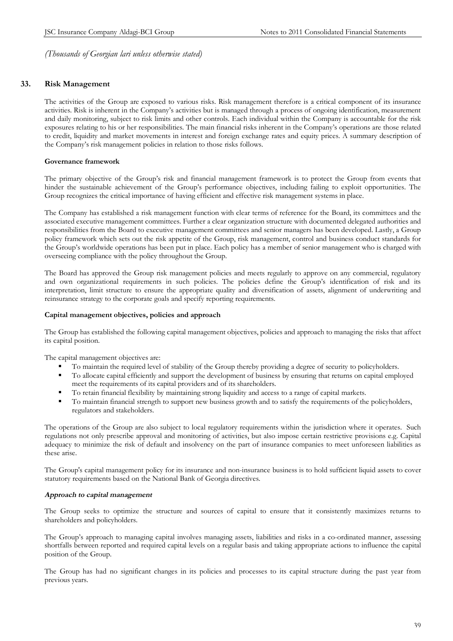# **33. Risk Management**

The activities of the Group are exposed to various risks. Risk management therefore is a critical component of its insurance activities. Risk is inherent in the Company's activities but is managed through a process of ongoing identification, measurement and daily monitoring, subject to risk limits and other controls. Each individual within the Company is accountable for the risk exposures relating to his or her responsibilities. The main financial risks inherent in the Company's operations are those related to credit, liquidity and market movements in interest and foreign exchange rates and equity prices. A summary description of the Company's risk management policies in relation to those risks follows.

#### **Governance framework**

The primary objective of the Group's risk and financial management framework is to protect the Group from events that hinder the sustainable achievement of the Group's performance objectives, including failing to exploit opportunities. The Group recognizes the critical importance of having efficient and effective risk management systems in place.

The Company has established a risk management function with clear terms of reference for the Board, its committees and the associated executive management committees. Further a clear organization structure with documented delegated authorities and responsibilities from the Board to executive management committees and senior managers has been developed. Lastly, a Group policy framework which sets out the risk appetite of the Group, risk management, control and business conduct standards for the Group's worldwide operations has been put in place. Each policy has a member of senior management who is charged with overseeing compliance with the policy throughout the Group.

The Board has approved the Group risk management policies and meets regularly to approve on any commercial, regulatory and own organizational requirements in such policies. The policies define the Group's identification of risk and its interpretation, limit structure to ensure the appropriate quality and diversification of assets, alignment of underwriting and reinsurance strategy to the corporate goals and specify reporting requirements.

#### **Capital management objectives, policies and approach**

The Group has established the following capital management objectives, policies and approach to managing the risks that affect its capital position.

The capital management objectives are:

- ß To maintain the required level of stability of the Group thereby providing a degree of security to policyholders.
- ß To allocate capital efficiently and support the development of business by ensuring that returns on capital employed meet the requirements of its capital providers and of its shareholders.
- ß To retain financial flexibility by maintaining strong liquidity and access to a range of capital markets.
- ß To maintain financial strength to support new business growth and to satisfy the requirements of the policyholders, regulators and stakeholders.

The operations of the Group are also subject to local regulatory requirements within the jurisdiction where it operates. Such regulations not only prescribe approval and monitoring of activities, but also impose certain restrictive provisions e.g. Capital adequacy to minimize the risk of default and insolvency on the part of insurance companies to meet unforeseen liabilities as these arise.

The Group's capital management policy for its insurance and non-insurance business is to hold sufficient liquid assets to cover statutory requirements based on the National Bank of Georgia directives.

#### *Approach to capital management*

The Group seeks to optimize the structure and sources of capital to ensure that it consistently maximizes returns to shareholders and policyholders.

The Group's approach to managing capital involves managing assets, liabilities and risks in a co-ordinated manner, assessing shortfalls between reported and required capital levels on a regular basis and taking appropriate actions to influence the capital position of the Group.

The Group has had no significant changes in its policies and processes to its capital structure during the past year from previous years.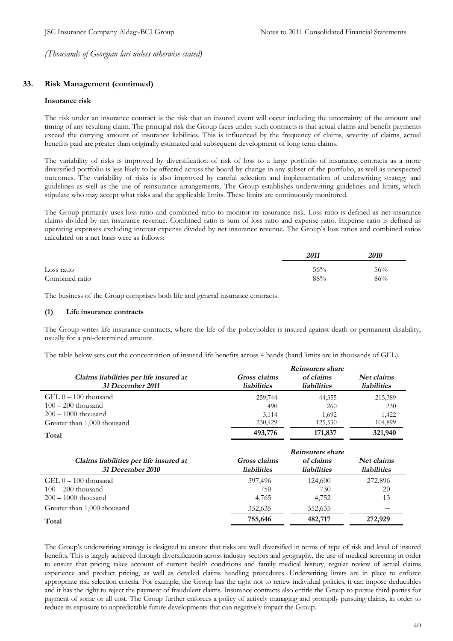# **33. Risk Management (continued)**

#### **Insurance risk**

The risk under an insurance contract is the risk that an insured event will occur including the uncertainty of the amount and timing of any resulting claim. The principal risk the Group faces under such contracts is that actual claims and benefit payments exceed the carrying amount of insurance liabilities. This is influenced by the frequency of claims, severity of claims, actual benefits paid are greater than originally estimated and subsequent development of long term claims.

The variability of risks is improved by diversification of risk of loss to a large portfolio of insurance contracts as a more diversified portfolio is less likely to be affected across the board by change in any subset of the portfolio, as well as unexpected outcomes. The variability of risks is also improved by careful selection and implementation of underwriting strategy and guidelines as well as the use of reinsurance arrangements. The Group establishes underwriting guidelines and limits, which stipulate who may accept what risks and the applicable limits. These limits are continuously monitored.

The Group primarily uses loss ratio and combined ratio to monitor its insurance risk. Loss ratio is defined as net insurance claims divided by net insurance revenue. Combined ratio is sum of loss ratio and expense ratio. Expense ratio is defined as operating expenses excluding interest expense divided by net insurance revenue. The Group's loss ratios and combined ratios calculated on a net basis were as follows:

|                | 2011 | <i>2010</i> |
|----------------|------|-------------|
| Loss ratio     | 56%  | 56%         |
| Combined ratio | 88%  | 86%         |

The business of the Group comprises both life and general insurance contracts.

#### **(1) Life insurance contracts**

The Group writes life insurance contracts, where the life of the policyholder is insured against death or permanent disability, usually for a pre-determined amount.

The table below sets out the concentration of insured life benefits across 4 bands (band limits are in thousands of GEL).

|                                        | Reinsurers share   |                    |                    |  |
|----------------------------------------|--------------------|--------------------|--------------------|--|
| Claims liabilities per life insured at | Gross claims       | of claims          | Net claims         |  |
| 31 December 2011                       | <b>liabilities</b> | <b>liabilities</b> | <b>liabilities</b> |  |
| GEL $0-100$ thousand                   | 259,744            | 44,355             | 215,389            |  |
| $100 - 200$ thousand                   | 490                | 260                | 230                |  |
| $200 - 1000$ thousand                  | 3,114              | 1,692              | 1,422              |  |
| Greater than 1,000 thousand            | 230,429            | 125,530            | 104,899            |  |
| Total                                  | 493,776            | 171,837            | 321,940            |  |
|                                        |                    | Reinsurers share   |                    |  |
| Claims liabilities per life insured at | Gross claims       | of claims          | Net claims         |  |
| 31 December 2010                       | <b>liabilities</b> | <b>liabilities</b> | <b>liabilities</b> |  |
| $GEL 0 - 100$ thousand                 | 397,496            | 124,600            | 272,896            |  |
| $100 - 200$ thousand                   | 750                | 730                | 20                 |  |
| $200 - 1000$ thousand                  | 4,765              | 4,752              | 13                 |  |

**Total 755,646 482,717 272,929** 

Greater than 1,000 thousand 352,635 352,635 352,635

The Group's underwriting strategy is designed to ensure that risks are well diversified in terms of type of risk and level of insured benefits. This is largely achieved through diversification across industry sectors and geography, the use of medical screening in order to ensure that pricing takes account of current health conditions and family medical history, regular review of actual claims experience and product pricing, as well as detailed claims handling procedures. Underwriting limits are in place to enforce appropriate risk selection criteria. For example, the Group has the right not to renew individual policies, it can impose deductibles and it has the right to reject the payment of fraudulent claims. Insurance contracts also entitle the Group to pursue third parties for payment of some or all cost. The Group further enforces a policy of actively managing and promptly pursuing claims, in order to reduce its exposure to unpredictable future developments that can negatively impact the Group.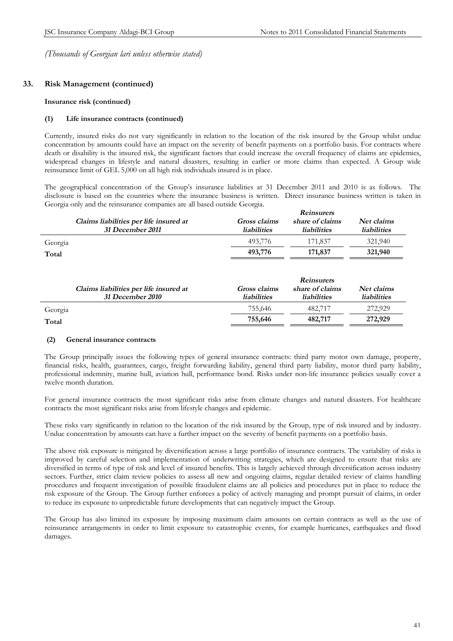*Reinsurers* 

*(Thousands of Georgian lari unless otherwise stated)* 

# **33. Risk Management (continued)**

#### **Insurance risk (continued)**

#### **(1) Life insurance contracts (continued)**

Currently, insured risks do not vary significantly in relation to the location of the risk insured by the Group whilst undue concentration by amounts could have an impact on the severity of benefit payments on a portfolio basis. For contracts where death or disability is the insured risk, the significant factors that could increase the overall frequency of claims are epidemics, widespread changes in lifestyle and natural disasters, resulting in earlier or more claims than expected. A Group wide reinsurance limit of GEL 5,000 on all high risk individuals insured is in place.

The geographical concentration of the Group's insurance liabilities at 31 December 2011 and 2010 is as follows. The disclosure is based on the countries where the insurance business is written. Direct insurance business written is taken in Georgia only and the reinsurance companies are all based outside Georgia.

|         | Claims liabilities per life insured at<br>31 December 2011 | Gross claims<br><b>liabilities</b> | share of claims<br><i>liabilities</i>                      | Net claims<br><b>liabilities</b> |
|---------|------------------------------------------------------------|------------------------------------|------------------------------------------------------------|----------------------------------|
| Georgia |                                                            | 493,776                            | 171,837                                                    | 321,940                          |
| Total   |                                                            | 493,776                            | 171,837                                                    | 321,940                          |
|         | Claims liabilities per life insured at<br>31 December 2010 | Gross claims<br><i>liabilities</i> | <b>Reinsurers</b><br>share of claims<br><i>liabilities</i> | Net claims<br><i>liabilities</i> |
| Georgia |                                                            | 755,646                            | 482,717                                                    | 272,929                          |
| Total   |                                                            | 755,646                            | 482,717                                                    | 272,929                          |

## **(2) General insurance contracts**

The Group principally issues the following types of general insurance contracts: third party motor own damage, property, financial risks, health, guarantees, cargo, freight forwarding liability, general third party liability, motor third party liability, professional indemnity, marine hull, aviation hull, performance bond. Risks under non-life insurance policies usually cover a twelve month duration.

For general insurance contracts the most significant risks arise from climate changes and natural disasters. For healthcare contracts the most significant risks arise from lifestyle changes and epidemic.

These risks vary significantly in relation to the location of the risk insured by the Group, type of risk insured and by industry. Undue concentration by amounts can have a further impact on the severity of benefit payments on a portfolio basis.

The above risk exposure is mitigated by diversification across a large portfolio of insurance contracts. The variability of risks is improved by careful selection and implementation of underwriting strategies, which are designed to ensure that risks are diversified in terms of type of risk and level of insured benefits. This is largely achieved through diversification across industry sectors. Further, strict claim review policies to assess all new and ongoing claims, regular detailed review of claims handling procedures and frequent investigation of possible fraudulent claims are all policies and procedures put in place to reduce the risk exposure of the Group. The Group further enforces a policy of actively managing and prompt pursuit of claims, in order to reduce its exposure to unpredictable future developments that can negatively impact the Group.

The Group has also limited its exposure by imposing maximum claim amounts on certain contracts as well as the use of reinsurance arrangements in order to limit exposure to catastrophic events, for example hurricanes, earthquakes and flood damages.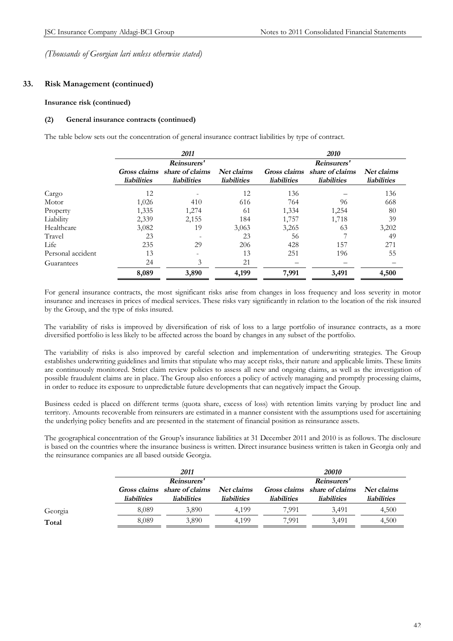# **33. Risk Management (continued)**

#### **Insurance risk (continued)**

#### **(2) General insurance contracts (continued)**

The table below sets out the concentration of general insurance contract liabilities by type of contract.

|                   | 2011               |                                                    | 2010                             |                                    |                                       |                                  |  |
|-------------------|--------------------|----------------------------------------------------|----------------------------------|------------------------------------|---------------------------------------|----------------------------------|--|
|                   |                    | Reinsurers'                                        |                                  |                                    | Reinsurers'                           |                                  |  |
|                   | <b>liabilities</b> | Gross claims share of claims<br><b>liabilities</b> | Net claims<br><b>liabilities</b> | Gross claims<br><b>liabilities</b> | share of claims<br><b>liabilities</b> | Net claims<br><b>liabilities</b> |  |
| Cargo             | 12                 |                                                    | 12                               | 136                                |                                       | 136                              |  |
| Motor             | 1,026              | 410                                                | 616                              | 764                                | 96                                    | 668                              |  |
| Property          | 1,335              | 1,274                                              | 61                               | 1,334                              | 1,254                                 | 80                               |  |
| Liability         | 2,339              | 2,155                                              | 184                              | 1,757                              | 1,718                                 | 39                               |  |
| Healthcare        | 3,082              | 19                                                 | 3,063                            | 3,265                              | 63                                    | 3,202                            |  |
| Travel            | 23                 |                                                    | 23                               | 56                                 |                                       | 49                               |  |
| Life              | 235                | 29                                                 | 206                              | 428                                | 157                                   | 271                              |  |
| Personal accident | 13                 |                                                    | 13                               | 251                                | 196                                   | 55                               |  |
| Guarantees        | 24                 | 3                                                  | 21                               |                                    |                                       |                                  |  |
|                   | 8,089              | 3,890                                              | 4,199                            | 7,991                              | 3,491                                 | 4,500                            |  |

For general insurance contracts, the most significant risks arise from changes in loss frequency and loss severity in motor insurance and increases in prices of medical services. These risks vary significantly in relation to the location of the risk insured by the Group, and the type of risks insured.

The variability of risks is improved by diversification of risk of loss to a large portfolio of insurance contracts, as a more diversified portfolio is less likely to be affected across the board by changes in any subset of the portfolio.

The variability of risks is also improved by careful selection and implementation of underwriting strategies. The Group establishes underwriting guidelines and limits that stipulate who may accept risks, their nature and applicable limits. These limits are continuously monitored. Strict claim review policies to assess all new and ongoing claims, as well as the investigation of possible fraudulent claims are in place. The Group also enforces a policy of actively managing and promptly processing claims, in order to reduce its exposure to unpredictable future developments that can negatively impact the Group.

Business ceded is placed on different terms (quota share, excess of loss) with retention limits varying by product line and territory. Amounts recoverable from reinsurers are estimated in a manner consistent with the assumptions used for ascertaining the underlying policy benefits and are presented in the statement of financial position as reinsurance assets.

The geographical concentration of the Group's insurance liabilities at 31 December 2011 and 2010 is as follows. The disclosure is based on the countries where the insurance business is written. Direct insurance business written is taken in Georgia only and the reinsurance companies are all based outside Georgia.

|         |                    | 2011                                                          |                    | <i>20010</i>       |                                                    |                                  |
|---------|--------------------|---------------------------------------------------------------|--------------------|--------------------|----------------------------------------------------|----------------------------------|
|         |                    | Reinsurers'                                                   |                    | Reinsurers'        |                                                    |                                  |
|         | <i>liabilities</i> | Gross claims share of claims Net claims<br><i>liabilities</i> | <i>liabilities</i> | <i>liabilities</i> | Gross claims share of claims<br><i>liabilities</i> | Net claims<br><i>liabilities</i> |
| Georgia | 8,089              | 3,890                                                         | 4.199              | 7.991              | 3,491                                              | 4,500                            |
| Total   | 8.089              | 3.890                                                         | 4.199              | 7.991              | 3.491                                              | 4,500                            |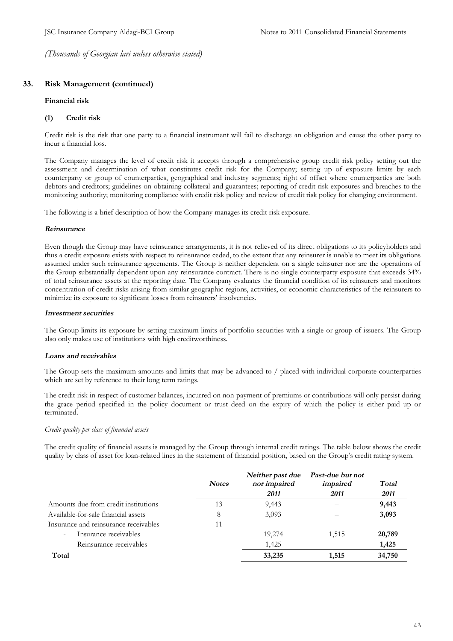# **33. Risk Management (continued)**

#### **Financial risk**

#### **(1) Credit risk**

Credit risk is the risk that one party to a financial instrument will fail to discharge an obligation and cause the other party to incur a financial loss.

The Company manages the level of credit risk it accepts through a comprehensive group credit risk policy setting out the assessment and determination of what constitutes credit risk for the Company; setting up of exposure limits by each counterparty or group of counterparties, geographical and industry segments; right of offset where counterparties are both debtors and creditors; guidelines on obtaining collateral and guarantees; reporting of credit risk exposures and breaches to the monitoring authority; monitoring compliance with credit risk policy and review of credit risk policy for changing environment.

The following is a brief description of how the Company manages its credit risk exposure.

#### *Reinsurance*

Even though the Group may have reinsurance arrangements, it is not relieved of its direct obligations to its policyholders and thus a credit exposure exists with respect to reinsurance ceded, to the extent that any reinsurer is unable to meet its obligations assumed under such reinsurance agreements. The Group is neither dependent on a single reinsurer nor are the operations of the Group substantially dependent upon any reinsurance contract. There is no single counterparty exposure that exceeds 34% of total reinsurance assets at the reporting date. The Company evaluates the financial condition of its reinsurers and monitors concentration of credit risks arising from similar geographic regions, activities, or economic characteristics of the reinsurers to minimize its exposure to significant losses from reinsurers' insolvencies.

#### *Investment securities*

The Group limits its exposure by setting maximum limits of portfolio securities with a single or group of issuers. The Group also only makes use of institutions with high creditworthiness.

## *Loans and receivables*

The Group sets the maximum amounts and limits that may be advanced to / placed with individual corporate counterparties which are set by reference to their long term ratings.

The credit risk in respect of customer balances, incurred on non-payment of premiums or contributions will only persist during the grace period specified in the policy document or trust deed on the expiry of which the policy is either paid up or terminated.

## *Credit quality per class of financial assets*

The credit quality of financial assets is managed by the Group through internal credit ratings. The table below shows the credit quality by class of asset for loan-related lines in the statement of financial position, based on the Group's credit rating system.

|                                                     | <b>Notes</b> | Neither past due<br>nor impaired | Past-due but not<br>impaired | Total  |
|-----------------------------------------------------|--------------|----------------------------------|------------------------------|--------|
|                                                     |              | 2011                             | 2011                         | 2011   |
| Amounts due from credit institutions                | 13           | 9,443                            |                              | 9,443  |
| Available-for-sale financial assets                 | 8            | 3,093                            |                              | 3,093  |
| Insurance and reinsurance receivables               | 11           |                                  |                              |        |
| Insurance receivables<br>$\overline{\phantom{a}}$   |              | 19,274                           | 1,515                        | 20,789 |
| Reinsurance receivables<br>$\overline{\phantom{a}}$ |              | 1,425                            |                              | 1,425  |
| Total                                               |              | 33,235                           | 1,515                        | 34,750 |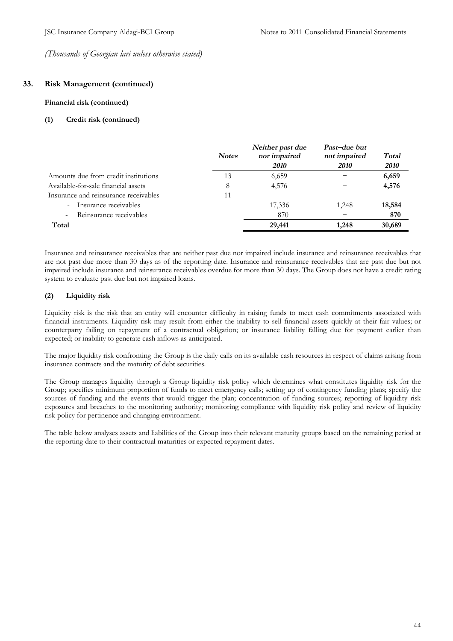# **33. Risk Management (continued)**

#### **Financial risk (continued)**

#### **(1) Credit risk (continued)**

|                                                     | <b>Notes</b> | Neither past due<br>nor impaired<br><i>2010</i> | Past-due but<br>not impaired<br><b>2010</b> | Total<br><b>2010</b> |
|-----------------------------------------------------|--------------|-------------------------------------------------|---------------------------------------------|----------------------|
| Amounts due from credit institutions                | 13           | 6,659                                           |                                             | 6,659                |
| Available-for-sale financial assets                 | 8            | 4,576                                           |                                             | 4,576                |
| Insurance and reinsurance receivables               | 11           |                                                 |                                             |                      |
| Insurance receivables<br>$\sim$                     |              | 17,336                                          | 1,248                                       | 18,584               |
| Reinsurance receivables<br>$\overline{\phantom{a}}$ |              | 870                                             |                                             | 870                  |
| Total                                               |              | 29,441                                          | 1,248                                       | 30,689               |

Insurance and reinsurance receivables that are neither past due nor impaired include insurance and reinsurance receivables that are not past due more than 30 days as of the reporting date. Insurance and reinsurance receivables that are past due but not impaired include insurance and reinsurance receivables overdue for more than 30 days. The Group does not have a credit rating system to evaluate past due but not impaired loans.

# **(2) Liquidity risk**

Liquidity risk is the risk that an entity will encounter difficulty in raising funds to meet cash commitments associated with financial instruments. Liquidity risk may result from either the inability to sell financial assets quickly at their fair values; or counterparty failing on repayment of a contractual obligation; or insurance liability falling due for payment earlier than expected; or inability to generate cash inflows as anticipated.

The major liquidity risk confronting the Group is the daily calls on its available cash resources in respect of claims arising from insurance contracts and the maturity of debt securities.

The Group manages liquidity through a Group liquidity risk policy which determines what constitutes liquidity risk for the Group; specifies minimum proportion of funds to meet emergency calls; setting up of contingency funding plans; specify the sources of funding and the events that would trigger the plan; concentration of funding sources; reporting of liquidity risk exposures and breaches to the monitoring authority; monitoring compliance with liquidity risk policy and review of liquidity risk policy for pertinence and changing environment.

The table below analyses assets and liabilities of the Group into their relevant maturity groups based on the remaining period at the reporting date to their contractual maturities or expected repayment dates.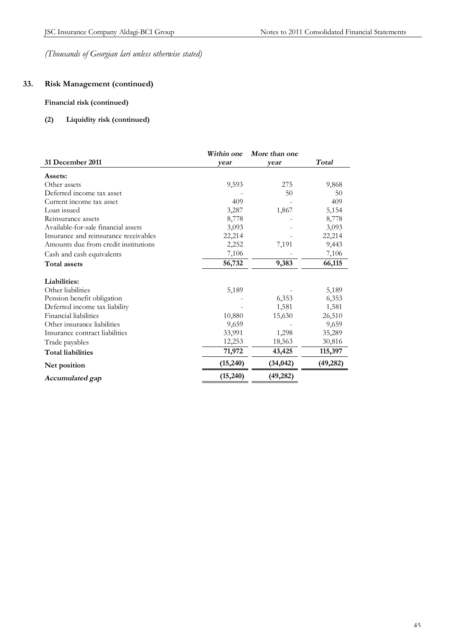# **33. Risk Management (continued)**

# **Financial risk (continued)**

# **(2) Liquidity risk (continued)**

| Total<br>9,868<br>50<br>409 |
|-----------------------------|
|                             |
|                             |
|                             |
|                             |
|                             |
| 5,154                       |
| 8,778                       |
| 3,093                       |
| 22,214                      |
| 9,443                       |
| 7,106                       |
| 66,115                      |
|                             |
| 5,189                       |
| 6,353                       |
| 1,581                       |
| 26,510                      |
| 9,659                       |
| 35,289                      |
| 30,816                      |
| 115,397                     |
| (49, 282)                   |
|                             |
|                             |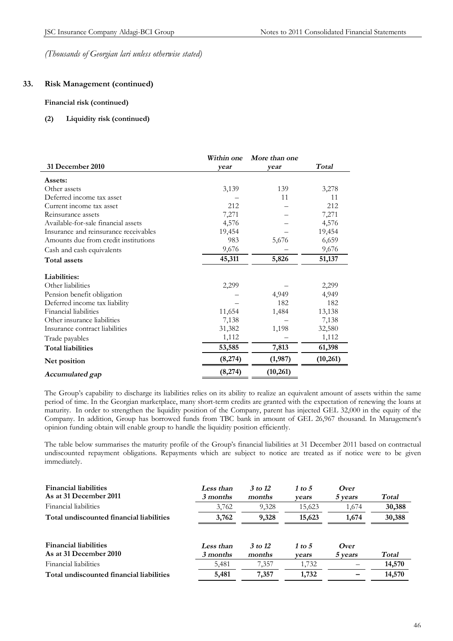# **33. Risk Management (continued)**

#### **Financial risk (continued)**

#### **(2) Liquidity risk (continued)**

|                                       | Within one | More than one |              |
|---------------------------------------|------------|---------------|--------------|
| 31 December 2010                      | year       | year          | <b>Total</b> |
| Assets:                               |            |               |              |
| Other assets                          | 3,139      | 139           | 3,278        |
| Deferred income tax asset             |            | 11            | 11           |
| Current income tax asset              | 212        |               | 212          |
| Reinsurance assets                    | 7,271      |               | 7,271        |
| Available-for-sale financial assets   | 4,576      |               | 4,576        |
| Insurance and reinsurance receivables | 19,454     |               | 19,454       |
| Amounts due from credit institutions  | 983        | 5,676         | 6,659        |
| Cash and cash equivalents             | 9,676      |               | 9,676        |
| Total assets                          | 45,311     | 5,826         | 51,137       |
| Liabilities:                          |            |               |              |
| Other liabilities                     | 2,299      |               | 2,299        |
| Pension benefit obligation            |            | 4,949         | 4,949        |
| Deferred income tax liability         |            | 182           | 182          |
| Financial liabilities                 | 11,654     | 1,484         | 13,138       |
| Other insurance liabilities           | 7,138      |               | 7,138        |
| Insurance contract liabilities        | 31,382     | 1,198         | 32,580       |
| Trade payables                        | 1,112      |               | 1,112        |
| <b>Total liabilities</b>              | 53,585     | 7,813         | 61,398       |
| Net position                          | (8,274)    | (1,987)       | (10,261)     |
| Accumulated gap                       | (8,274)    | (10,261)      |              |

The Group's capability to discharge its liabilities relies on its ability to realize an equivalent amount of assets within the same period of time. In the Georgian marketplace, many short-term credits are granted with the expectation of renewing the loans at maturity. In order to strengthen the liquidity position of the Company, parent has injected GEL 32,000 in the equity of the Company. In addition, Group has borrowed funds from TBC bank in amount of GEL 26,967 thousand. In Management's opinion funding obtain will enable group to handle the liquidity position efficiently.

The table below summarises the maturity profile of the Group's financial liabilities at 31 December 2011 based on contractual undiscounted repayment obligations. Repayments which are subject to notice are treated as if notice were to be given immediately.

| <b>Financial liabilities</b><br>As at 31 December 2011 | Less than<br>3 months | 3 to 12<br>months | 1 to 5<br>vears | <i>Over</i><br>5 years | Total  |
|--------------------------------------------------------|-----------------------|-------------------|-----------------|------------------------|--------|
| Financial liabilities                                  | 3,762                 | 9,328             | 15,623          | 1,674                  | 30,388 |
| Total undiscounted financial liabilities               | 3,762                 | 9,328             | 15,623          | 1,674                  | 30,388 |
| <b>Financial liabilities</b><br>As at 31 December 2010 | Less than<br>3 months | 3 to 12<br>months | 1 to 5<br>vears | Over<br>5 years        | Total  |
| Financial liabilities                                  | 5,481                 | 7,357             | 1,732           |                        | 14,570 |
| Total undiscounted financial liabilities               | 5,481                 | 7,357             | 1,732           |                        | 14,570 |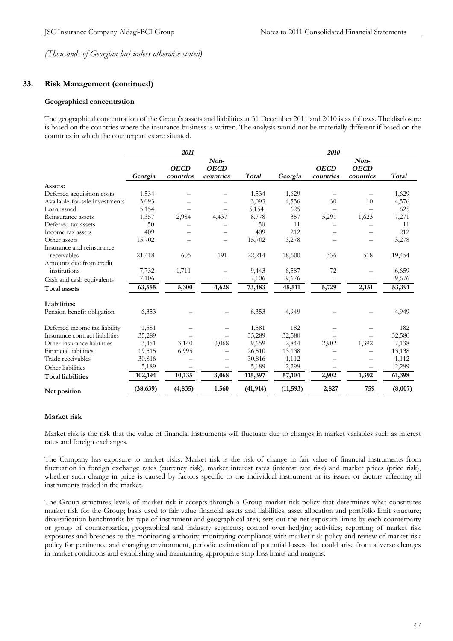# **33. Risk Management (continued)**

#### **Geographical concentration**

The geographical concentration of the Group's assets and liabilities at 31 December 2011 and 2010 is as follows. The disclosure is based on the countries where the insurance business is written. The analysis would not be materially different if based on the countries in which the counterparties are situated.

|                                | 2011      |             |                          |           | 2010      |             |             |         |
|--------------------------------|-----------|-------------|--------------------------|-----------|-----------|-------------|-------------|---------|
|                                | Non-      |             |                          | Non-      |           |             |             |         |
|                                |           | <b>OECD</b> | <b>OECD</b>              |           |           | <b>OECD</b> | <b>OECD</b> |         |
|                                | Georgia   | countries   | countries                | Total     | Georgia   | countries   | countries   | Total   |
| Assets:                        |           |             |                          |           |           |             |             |         |
| Deferred acquisition costs     | 1,534     |             |                          | 1,534     | 1,629     |             |             | 1,629   |
| Available-for-sale investments | 3,093     |             |                          | 3,093     | 4,536     | 30          | 10          | 4,576   |
| Loan issued                    | 5,154     |             |                          | 5,154     | 625       |             |             | 625     |
| Reinsurance assets             | 1,357     | 2,984       | 4,437                    | 8,778     | 357       | 5,291       | 1,623       | 7,271   |
| Deferred tax assets            | 50        |             |                          | 50        | 11        |             |             | 11      |
| Income tax assets              | 409       | —           |                          | 409       | 212       |             |             | 212     |
| Other assets                   | 15,702    | —           | $\overline{\phantom{0}}$ | 15,702    | 3,278     |             |             | 3,278   |
| Insurance and reinsurance      |           |             |                          |           |           |             |             |         |
| receivables                    | 21,418    | 605         | 191                      | 22,214    | 18,600    | 336         | 518         | 19,454  |
| Amounts due from credit        |           |             |                          |           |           |             |             |         |
| institutions                   | 7,732     | 1,711       |                          | 9,443     | 6,587     | 72          |             | 6,659   |
| Cash and cash equivalents      | 7,106     |             |                          | 7,106     | 9,676     |             |             | 9,676   |
| Total assets                   | 63,555    | 5,300       | 4,628                    | 73,483    | 45,511    | 5,729       | 2,151       | 53,391  |
| Liabilities:                   |           |             |                          |           |           |             |             |         |
| Pension benefit obligation     | 6,353     |             |                          | 6,353     | 4,949     |             |             | 4,949   |
| Deferred income tax liability  | 1,581     |             |                          | 1,581     | 182       |             |             | 182     |
| Insurance contract liabilities | 35,289    |             |                          | 35,289    | 32,580    |             |             | 32,580  |
| Other insurance liabilities    | 3,451     | 3,140       | 3,068                    | 9,659     | 2,844     | 2,902       | 1,392       | 7,138   |
| Financial liabilities          | 19,515    | 6,995       |                          | 26,510    | 13,138    |             |             | 13,138  |
| Trade receivables              | 30,816    |             |                          | 30,816    | 1,112     |             |             | 1,112   |
| Other liabilities              | 5,189     |             |                          | 5,189     | 2,299     |             |             | 2,299   |
| <b>Total liabilities</b>       | 102,194   | 10,135      | 3,068                    | 115,397   | 57,104    | 2,902       | 1,392       | 61,398  |
| Net position                   | (38, 639) | (4, 835)    | 1,560                    | (41, 914) | (11, 593) | 2,827       | 759         | (8,007) |

#### **Market risk**

Market risk is the risk that the value of financial instruments will fluctuate due to changes in market variables such as interest rates and foreign exchanges.

The Company has exposure to market risks. Market risk is the risk of change in fair value of financial instruments from fluctuation in foreign exchange rates (currency risk), market interest rates (interest rate risk) and market prices (price risk), whether such change in price is caused by factors specific to the individual instrument or its issuer or factors affecting all instruments traded in the market.

The Group structures levels of market risk it accepts through a Group market risk policy that determines what constitutes market risk for the Group; basis used to fair value financial assets and liabilities; asset allocation and portfolio limit structure; diversification benchmarks by type of instrument and geographical area; sets out the net exposure limits by each counterparty or group of counterparties, geographical and industry segments; control over hedging activities; reporting of market risk exposures and breaches to the monitoring authority; monitoring compliance with market risk policy and review of market risk policy for pertinence and changing environment, periodic estimation of potential losses that could arise from adverse changes in market conditions and establishing and maintaining appropriate stop-loss limits and margins.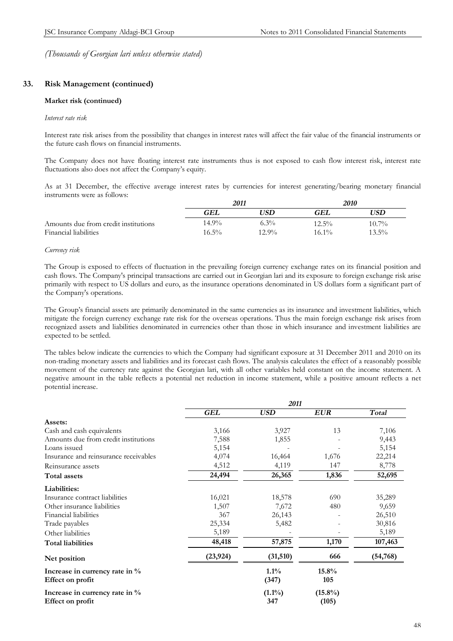# **33. Risk Management (continued)**

#### **Market risk (continued)**

#### *Interest rate risk*

Interest rate risk arises from the possibility that changes in interest rates will affect the fair value of the financial instruments or the future cash flows on financial instruments.

The Company does not have floating interest rate instruments thus is not exposed to cash flow interest risk, interest rate fluctuations also does not affect the Company's equity.

As at 31 December, the effective average interest rates by currencies for interest generating/bearing monetary financial instruments were as follows:

|                                      | 2011     |          | <i>2010</i> |          |
|--------------------------------------|----------|----------|-------------|----------|
|                                      | GEL      | 'JSD     | GEL         | 'JSD     |
| Amounts due from credit institutions | 14.9%    | $6.3\%$  | $12.5\%$    | $10.7\%$ |
| Financial liabilities                | $16.5\%$ | $12.9\%$ | $16.1\%$    | $13.5\%$ |

#### *Currency risk*

The Group is exposed to effects of fluctuation in the prevailing foreign currency exchange rates on its financial position and cash flows. The Company's principal transactions are carried out in Georgian lari and its exposure to foreign exchange risk arise primarily with respect to US dollars and euro, as the insurance operations denominated in US dollars form a significant part of the Company's operations.

The Group's financial assets are primarily denominated in the same currencies as its insurance and investment liabilities, which mitigate the foreign currency exchange rate risk for the overseas operations. Thus the main foreign exchange risk arises from recognized assets and liabilities denominated in currencies other than those in which insurance and investment liabilities are expected to be settled.

The tables below indicate the currencies to which the Company had significant exposure at 31 December 2011 and 2010 on its non-trading monetary assets and liabilities and its forecast cash flows. The analysis calculates the effect of a reasonably possible movement of the currency rate against the Georgian lari, with all other variables held constant on the income statement. A negative amount in the table reflects a potential net reduction in income statement, while a positive amount reflects a net potential increase.

|                                                    | 2011       |                  |                     |           |
|----------------------------------------------------|------------|------------------|---------------------|-----------|
|                                                    | <b>GEL</b> | <b>USD</b>       | <b>EUR</b>          | Total     |
| Assets:                                            |            |                  |                     |           |
| Cash and cash equivalents                          | 3,166      | 3,927            | 13                  | 7,106     |
| Amounts due from credit institutions               | 7,588      | 1,855            |                     | 9,443     |
| Loans issued                                       | 5,154      |                  |                     | 5,154     |
| Insurance and reinsurance receivables              | 4,074      | 16,464           | 1,676               | 22,214    |
| Reinsurance assets                                 | 4,512      | 4,119            | 147                 | 8,778     |
| <b>Total assets</b>                                | 24,494     | 26,365           | 1,836               | 52,695    |
| Liabilities:                                       |            |                  |                     |           |
| Insurance contract liabilities                     | 16,021     | 18,578           | 690                 | 35,289    |
| Other insurance liabilities                        | 1,507      | 7,672            | 480                 | 9,659     |
| Financial liabilities                              | 367        | 26,143           |                     | 26,510    |
| Trade payables                                     | 25,334     | 5,482            |                     | 30,816    |
| Other liabilities                                  | 5,189      |                  |                     | 5,189     |
| <b>Total liabilities</b>                           | 48,418     | 57,875           | 1,170               | 107,463   |
| Net position                                       | (23, 924)  | (31, 510)        | 666                 | (54, 768) |
| Increase in currency rate in %<br>Effect on profit |            | $1.1\%$<br>(347) | 15.8%<br>105        |           |
| Increase in currency rate in %<br>Effect on profit |            | $(1.1\%)$<br>347 | $(15.8\%)$<br>(105) |           |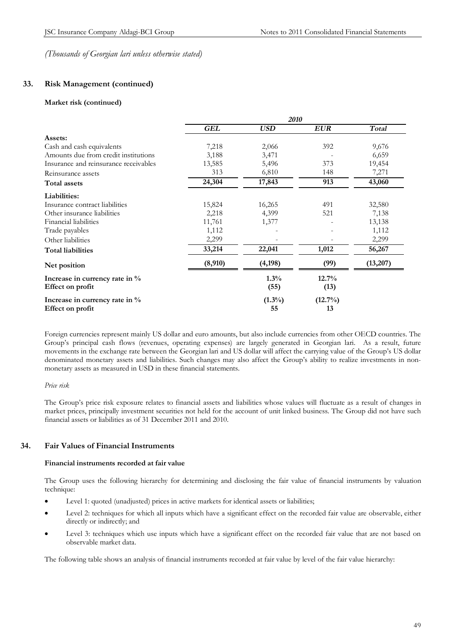# **33. Risk Management (continued)**

#### **Market risk (continued)**

|                                                    | <i>2010</i> |                 |                  |              |  |
|----------------------------------------------------|-------------|-----------------|------------------|--------------|--|
|                                                    | <b>GEL</b>  | <b>USD</b>      | <b>EUR</b>       | <b>Total</b> |  |
| Assets:                                            |             |                 |                  |              |  |
| Cash and cash equivalents                          | 7,218       | 2,066           | 392              | 9,676        |  |
| Amounts due from credit institutions               | 3,188       | 3,471           |                  | 6,659        |  |
| Insurance and reinsurance receivables              | 13,585      | 5,496           | 373              | 19,454       |  |
| Reinsurance assets                                 | 313         | 6,810           | 148              | 7,271        |  |
| <b>Total assets</b>                                | 24,304      | 17,843          | 913              | 43,060       |  |
| Liabilities:                                       |             |                 |                  |              |  |
| Insurance contract liabilities                     | 15,824      | 16,265          | 491              | 32,580       |  |
| Other insurance liabilities                        | 2,218       | 4,399           | 521              | 7,138        |  |
| Financial liabilities                              | 11,761      | 1,377           |                  | 13,138       |  |
| Trade payables                                     | 1,112       |                 |                  | 1,112        |  |
| Other liabilities                                  | 2,299       |                 |                  | 2,299        |  |
| <b>Total liabilities</b>                           | 33,214      | 22,041          | 1,012            | 56,267       |  |
| Net position                                       | (8,910)     | (4, 198)        | (99)             | (13,207)     |  |
| Increase in currency rate in %<br>Effect on profit |             | 1.3%<br>(55)    | 12.7%<br>(13)    |              |  |
| Increase in currency rate in %<br>Effect on profit |             | $(1.3\%)$<br>55 | $(12.7\%)$<br>13 |              |  |

Foreign currencies represent mainly US dollar and euro amounts, but also include currencies from other OECD countries. The Group's principal cash flows (revenues, operating expenses) are largely generated in Georgian lari. As a result, future movements in the exchange rate between the Georgian lari and US dollar will affect the carrying value of the Group's US dollar denominated monetary assets and liabilities. Such changes may also affect the Group's ability to realize investments in nonmonetary assets as measured in USD in these financial statements.

## *Price risk*

The Group's price risk exposure relates to financial assets and liabilities whose values will fluctuate as a result of changes in market prices, principally investment securities not held for the account of unit linked business. The Group did not have such financial assets or liabilities as of 31 December 2011 and 2010.

# **34. Fair Values of Financial Instruments**

#### **Financial instruments recorded at fair value**

The Group uses the following hierarchy for determining and disclosing the fair value of financial instruments by valuation technique:

- · Level 1: quoted (unadjusted) prices in active markets for identical assets or liabilities;
- · Level 2: techniques for which all inputs which have a significant effect on the recorded fair value are observable, either directly or indirectly; and
- Level 3: techniques which use inputs which have a significant effect on the recorded fair value that are not based on observable market data.

The following table shows an analysis of financial instruments recorded at fair value by level of the fair value hierarchy: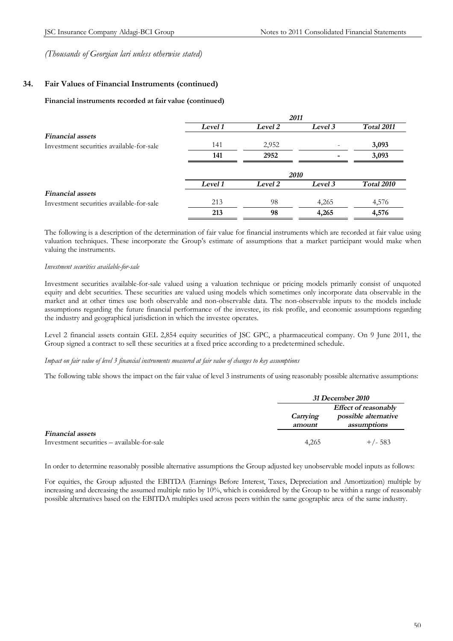# **34. Fair Values of Financial Instruments (continued)**

#### **Financial instruments recorded at fair value (continued)**

|                                          | 2011    |         |         |                   |  |
|------------------------------------------|---------|---------|---------|-------------------|--|
|                                          | Level 1 | Level 2 | Level 3 | Total 2011        |  |
| <b>Financial</b> assets                  |         |         |         |                   |  |
| Investment securities available-for-sale | 141     | 2,952   |         | 3,093             |  |
|                                          | 141     | 2952    |         | 3,093             |  |
|                                          |         |         | 2010    |                   |  |
|                                          | Level 1 | Level 2 | Level 3 | <b>Total 2010</b> |  |
| <b>Financial</b> assets                  |         |         |         |                   |  |
| Investment securities available-for-sale | 213     | 98      | 4,265   | 4,576             |  |
|                                          | 213     | 98      | 4,265   | 4,576             |  |

The following is a description of the determination of fair value for financial instruments which are recorded at fair value using valuation techniques. These incorporate the Group's estimate of assumptions that a market participant would make when valuing the instruments.

#### *Investment securities available-for-sale*

Investment securities available-for-sale valued using a valuation technique or pricing models primarily consist of unquoted equity and debt securities. These securities are valued using models which sometimes only incorporate data observable in the market and at other times use both observable and non-observable data. The non-observable inputs to the models include assumptions regarding the future financial performance of the investee, its risk profile, and economic assumptions regarding the industry and geographical jurisdiction in which the investee operates.

Level 2 financial assets contain GEL 2,854 equity securities of JSC GPC, a pharmaceutical company. On 9 June 2011, the Group signed a contract to sell these securities at a fixed price according to a predetermined schedule.

Impact on fair value of level 3 financial instruments measured at fair value of changes to key assumptions

The following table shows the impact on the fair value of level 3 instruments of using reasonably possible alternative assumptions:

|                                            |                    | <i>31 December 2010</i>             |  |  |
|--------------------------------------------|--------------------|-------------------------------------|--|--|
|                                            |                    | <b>Effect of reasonably</b>         |  |  |
|                                            | Carrying<br>amount | possible alternative<br>assumptions |  |  |
| <b>Financial</b> assets                    |                    |                                     |  |  |
| Investment securities – available-for-sale | 4,265              | $+/- 583$                           |  |  |

In order to determine reasonably possible alternative assumptions the Group adjusted key unobservable model inputs as follows:

For equities, the Group adjusted the EBITDA (Earnings Before Interest, Taxes, Depreciation and Amortization) multiple by increasing and decreasing the assumed multiple ratio by 10%, which is considered by the Group to be within a range of reasonably possible alternatives based on the EBITDA multiples used across peers within the same geographic area of the same industry.